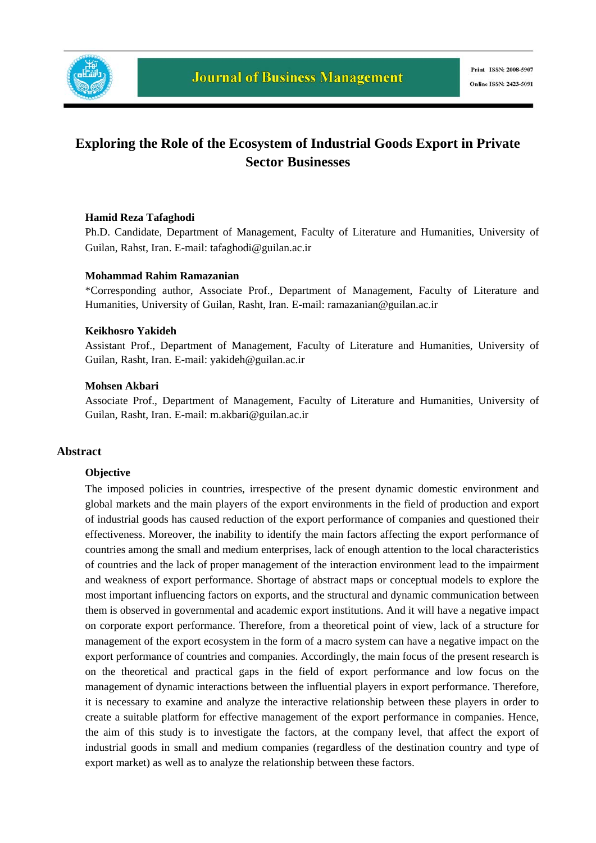

# **Exploring the Role of the Ecosystem of Industrial Goods Export in Private Sector Businesses**

## **Hamid Reza Tafaghodi**

Ph.D. Candidate, Department of Management, Faculty of Literature and Humanities, University of Guilan, Rahst, Iran. E-mail: tafaghodi@guilan.ac.ir

## **Mohammad Rahim Ramazanian**

\*Corresponding author, Associate Prof., Department of Management, Faculty of Literature and Humanities, University of Guilan, Rasht, Iran. E-mail: ramazanian@guilan.ac.ir

#### **Keikhosro Yakideh**

Assistant Prof., Department of Management, Faculty of Literature and Humanities, University of Guilan, Rasht, Iran. E-mail: yakideh@guilan.ac.ir

### **Mohsen Akbari**

Associate Prof., Department of Management, Faculty of Literature and Humanities, University of Guilan, Rasht, Iran. E-mail: m.akbari@guilan.ac.ir

#### **Abstract**

#### **Objective**

The imposed policies in countries, irrespective of the present dynamic domestic environment and global markets and the main players of the export environments in the field of production and export of industrial goods has caused reduction of the export performance of companies and questioned their effectiveness. Moreover, the inability to identify the main factors affecting the export performance of countries among the small and medium enterprises, lack of enough attention to the local characteristics of countries and the lack of proper management of the interaction environment lead to the impairment and weakness of export performance. Shortage of abstract maps or conceptual models to explore the most important influencing factors on exports, and the structural and dynamic communication between them is observed in governmental and academic export institutions. And it will have a negative impact on corporate export performance. Therefore, from a theoretical point of view, lack of a structure for management of the export ecosystem in the form of a macro system can have a negative impact on the export performance of countries and companies. Accordingly, the main focus of the present research is on the theoretical and practical gaps in the field of export performance and low focus on the management of dynamic interactions between the influential players in export performance. Therefore, it is necessary to examine and analyze the interactive relationship between these players in order to create a suitable platform for effective management of the export performance in companies. Hence, the aim of this study is to investigate the factors, at the company level, that affect the export of industrial goods in small and medium companies (regardless of the destination country and type of export market) as well as to analyze the relationship between these factors.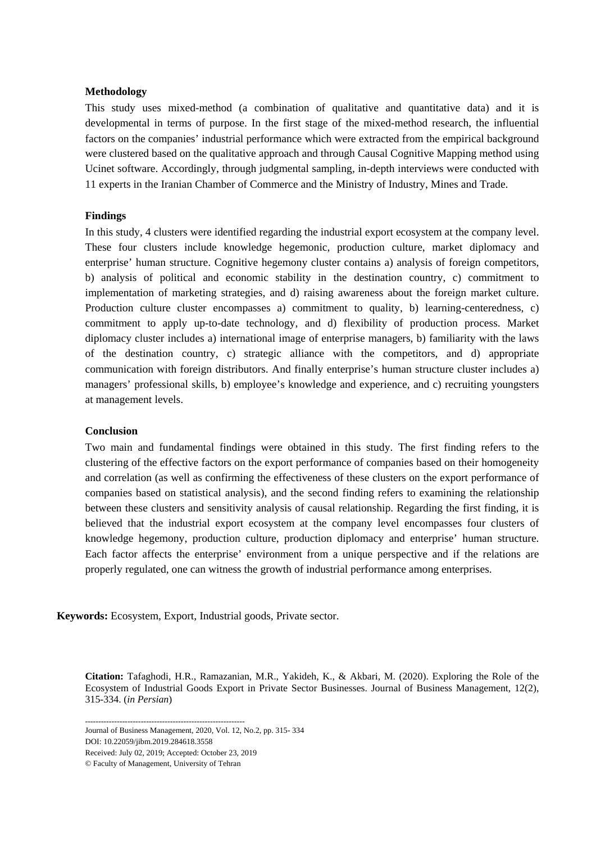## **Methodology**

This study uses mixed-method (a combination of qualitative and quantitative data) and it is developmental in terms of purpose. In the first stage of the mixed-method research, the influential factors on the companies' industrial performance which were extracted from the empirical background were clustered based on the qualitative approach and through Causal Cognitive Mapping method using Ucinet software. Accordingly, through judgmental sampling, in-depth interviews were conducted with 11 experts in the Iranian Chamber of Commerce and the Ministry of Industry, Mines and Trade.

## **Findings**

In this study, 4 clusters were identified regarding the industrial export ecosystem at the company level. These four clusters include knowledge hegemonic, production culture, market diplomacy and enterprise' human structure. Cognitive hegemony cluster contains a) analysis of foreign competitors, b) analysis of political and economic stability in the destination country, c) commitment to implementation of marketing strategies, and d) raising awareness about the foreign market culture. Production culture cluster encompasses a) commitment to quality, b) learning-centeredness, c) commitment to apply up-to-date technology, and d) flexibility of production process. Market diplomacy cluster includes a) international image of enterprise managers, b) familiarity with the laws of the destination country, c) strategic alliance with the competitors, and d) appropriate communication with foreign distributors. And finally enterprise's human structure cluster includes a) managers' professional skills, b) employee's knowledge and experience, and c) recruiting youngsters at management levels.

#### **Conclusion**

Two main and fundamental findings were obtained in this study. The first finding refers to the clustering of the effective factors on the export performance of companies based on their homogeneity and correlation (as well as confirming the effectiveness of these clusters on the export performance of companies based on statistical analysis), and the second finding refers to examining the relationship between these clusters and sensitivity analysis of causal relationship. Regarding the first finding, it is believed that the industrial export ecosystem at the company level encompasses four clusters of knowledge hegemony, production culture, production diplomacy and enterprise' human structure. Each factor affects the enterprise' environment from a unique perspective and if the relations are properly regulated, one can witness the growth of industrial performance among enterprises.

**Keywords:** Ecosystem, Export, Industrial goods, Private sector.

**Citation:** Tafaghodi, H.R., Ramazanian, M.R., Yakideh, K., & Akbari, M. (2020). Exploring the Role of the Ecosystem of Industrial Goods Export in Private Sector Businesses. Journal of Business Management*,* 12(2), 315-334. (*in Persian*)

------------------------------------------------------------ Journal of Business Management, 2020, Vol. 12, No.2, pp. 315- 334

DOI: 10.22059/jibm.2019.284618.3558

Received: July 02, 2019; Accepted: October 23, 2019

© Faculty of Management, University of Tehran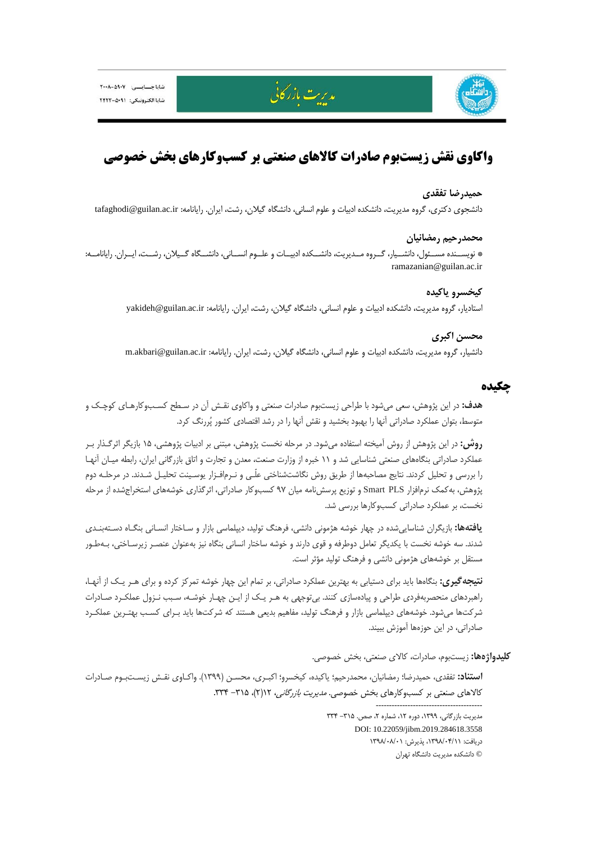



# **واكاوي نقش زيستبوم صادرات كالاهاي صنعتي بر كسبوكارهاي بخش خصوصي**

مدیریت بازر کانی

### **حميدرضا تفقدي**

دانشجوي دكتري، گروه مديريت، دانشكده ادبيات و علوم انساني، دانشگاه گيلان، رشت، ايران. رايانامه: ir.ac.guilan@tafaghodi

# **محمدرحيم رمضانيان**

\* نويســنده مســئول، دانشــيار، گــروه مــديريت، دانشــكده ادبيــات و علــوم انســاني، دانشــگاه گــيلان، رشــت، ايــران. رايانامــه: ramazanian@guilan.ac.ir

## **كيخسرو ياكيده**

استاديار، گروه مديريت، دانشكده ادبيات و علوم انساني، دانشگاه گيلان، رشت، ايران. رايانامه: yakideh@guilan.ac.ir

# **محسن اكبري**

دانشيار، گروه مديريت، دانشكده ادبيات و علوم انساني، دانشگاه گيلان، رشت، ايران. رايانامه: m.akbari@guilan.ac.ir

# **چكيده**

**هدف:** در اين پژوهش، سعي ميشود با طراحي زيستبوم صادرات صنعتي و واكاوي نقـش آن در سـطح كسـبوكارهـاي كوچـك و متوسط، بتوان عملكرد صادراتي آنها را بهبود بخشيد و نقش آنها را در رشد اقتصادي كشور پررنگ كرد.

**روش:** در اين پژوهش از روش آميخته استفاده ميشود. در مرحله نخست پژوهش، مبتني بر ادبيات پژوهشي، 15 بازيگر اثرگـذار بـر عملكرد صادراتي بنگاههاي صنعتي شناسايي شد و 11 خبره از وزارت صنعت، معدن و تجارت و اتاق بازرگاني ايران، رابطه ميـان آنهـا را بررسي و تحليل كردند. نتايج مصاحبهها از طريق روش نگاشتشناختي علّـي و نـرمافـزار يوسـينت تحليـل شـدند. در مرحلـه دوم پژوهش، بهكمك نرمافزار PLS Smart و توزيع پرسشنامه ميان 97 كسبوكار صادراتي، اثرگذاري خوشههاي استخراجشده از مرحله نخست، بر عملكرد صادراتي كسبوكارها بررسي شد.

**يافتهها:** بازيگران شناساييشده در چهار خوشه هژموني دانشي، فرهنگ توليد، ديپلماسي بازار و سـاختار انسـاني بنگـاه دسـتهبنـدي شدند. سه خوشه نخست با يكديگر تعامل دوطرفه و قوي دارند و خوشه ساختار انساني بنگاه نيز بهعنوان عنصـر زيرسـاختي، بـهطـور مستقل بر خوشههاي هژموني دانشي و فرهنگ توليد مؤثر است.

**نتيجهگيري:** بنگاهها بايد براي دستيابي به بهترين عملكرد صادراتي، بر تمام اين چهار خوشه تمركز كرده و براي هـر يـك از آنهـا، راهبردهاي منحصربهفردي طراحي و پيادهسازي كنند. بيتوجهي به هـر يـك از ايـن چهـار خوشـه، سـبب نـزول عملكـرد صـادرات شركتها ميشود. خوشههاي ديپلماسي بازار و فرهنگ توليد، مفاهيم بديعي هستند كه شركتها بايد بـراي كسـب بهتـرين عملكـرد صادراتي، در اين حوزهها آموزش ببيند.

**كليدواژهها:** زيستبوم، صادرات، كالاي صنعتي، بخش خصوصي.

----------------------------------------

**استناد:** تفقدي، حميدرضا؛ رمضانيان، محمدرحيم؛ ياكيده، كيخسرو؛ اكبـري، محسـن (1399). واكـاوي نقـش زيسـتبـوم صـادرات كالاهاي صنعتي بر كسبوكارهاي بخش خصوصي. *مديريت بازرگاني، ٢١*١٢- ٣٢۴.

> مديريت بازرگاني، ١٣٩٩، دوره ١٢، شماره ٢، صص. ٢١۵- ٣٣۴ DOI: 10.22059/jibm.2019.284618.3558 دريافت: ،1398/04/11 پذيرش: 1398/08/01 © دانشكده مديريت دانشگاه تهران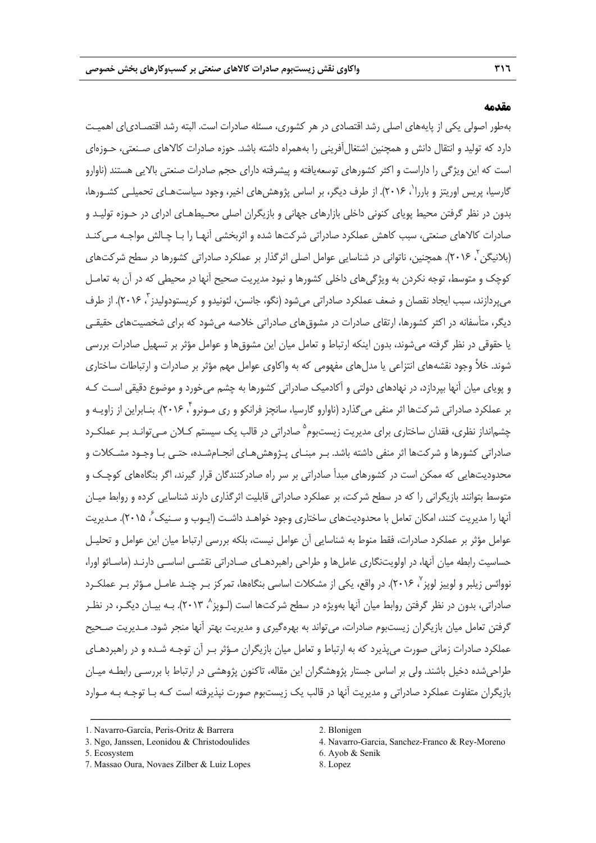## **مقدمه**

بهطور اصولي يكي از پايههاي اصلي رشد اقتصادي در هر كشوري، مسئله صادرات است. البته رشد اقتصـادياي اهميـت دارد كه توليد و انتقال دانش و همچنين اشتغالآفريني را بههمراه داشته باشد. حوزه صادرات كالاهاي صـنعتي، حـوزهاي است كه اين ويژگي را داراست و اكثر كشورهاي توسعهيافته و پيشرفته داراي حجم صادرات صنعتي بالايي هستند (ناوارو گارسيا، پريس اوريتز و باررا<sup>י</sup>، ۲۰۱۶). از طرف ديگر، بر اساس پژوهشهاي اخير، وجود سياستهـاي تحميلـي كشـورها، بدون در نظر گرفتن محيط پوياي كنوني داخلي بازارهاي جهاني و بازيگران اصلي محـيطهـاي ادراي در حـوزه توليـد و صادرات كالاهاي صنعتي، سبب كاهش عملكرد صادراتي شركتها شده و اثربخشي آنهـا را بـا چـالش مواجـه مـيكنـد (بلانيگن '، ۲۰۱۶). همچنين، ناتواني در شناسايي عوامل اصلي اثرگذار بر عملكرد صادراتي كشورها در سطح شركتهاي كوچك و متوسط، توجه نكردن به ويژگيهاي داخلي كشورها و نبود مديريت صحيح آنها در محيطي كه در آن به تعامـل میپردازند، سبب ایجاد نقصان و ضعف عملکرد صادراتی میشود (نگو، جانسن، لئونیدو و کریستودولیدز ؒ، ۲۰۱۶). از طرف ديگر، متأسفانه در اكثر كشورها، ارتقاي صادرات در مشوقهاي صادراتي خلاصه ميشود كه براي شخصيتهاي حقيقـي يا حقوقي در نظر گرفته ميشوند، بدون اينكه ارتباط و تعامل ميان اين مشوقها و عوامل مؤثر بر تسهيل صادرات بررسي شوند. خلأ وجود نقشههاي انتزاعي يا مدلهاي مفهومي كه به واكاوي عوامل مهم مؤثر بر صادرات و ارتباطات ساختاري و پوياي ميان آنها بپردازد، در نهادهاي دولتي و آكادميك صادراتي كشورها به چشم ميخورد و موضوع دقيقي اسـت كـه بر عملكرد صادراتي شركتها اثر منفي ميگذارد (ناوارو گارسيا، سانچز فرانكو و ري مـونرو 4 ، 2016). بنـابراين از زاويـه و چشم|نداز نظري، فقدان ساختاري براي مديريت زيستبوم<sup>ه</sup> صادراتي در قالب يک سيستم کــلان مـيتوانــد بـر عملکــرد صادراتي كشورها و شركتها اثر منفي داشته باشد. بـر مبنـاي پـژوهشهـاي انجـامشـده، حتـي بـا وجـود مشـكلات و محدوديتهايي كه ممكن است در كشورهاي مبدأ صادراتي بر سر راه صادركنندگان قرار گيرند، اگر بنگاههاي كوچـك و متوسط بتوانند بازيگراني را كه در سطح شركت، بر عملكرد صادراتي قابليت اثرگذاري دارند شناسايي كرده و روابط ميـان أنها را مديريت كنند، امكان تعامل با محدوديتهاى ساختارى وجود خواهـد داشـت (ايـوب و سـنيک ً، ۲۰۱۵). مـديريت عوامل مؤثر بر عملكرد صادرات، فقط منوط به شناسايي آن عوامل نيست، بلكه بررسي ارتباط ميان اين عوامل و تحليـل حساسيت رابطه ميان آنها، در اولويتنگاري عاملها و طراحي راهبردهـاي صـادراتي نقشـي اساسـي دارنـد (ماسـائو اورا، نووائس زيلبر و لوييز لويز "، ٢٠١۶). در واقع، يكي از مشكلات اساسي بنگاهها، تمركز بـر چنـد عامـل مـؤثر بـر عملكـرد صادراتي، بدون در نظر گرفتن روابط ميان آنها بهويژه در سطح شركتها است (لـوپز^، ۲۰۱۳). بـه بيـان ديگــر، در نظــر گرفتن تعامل ميان بازيگران زيستبوم صادرات، ميتواند به بهرهگيري و مديريت بهتر آنها منجر شود. مـديريت صـحيح عملكرد صادرات زماني صورت ميپذيرد كه به ارتباط و تعامل ميان بازيگران مـؤثر بـر آن توجـه شـده و در راهبردهـاي طراحيشده دخيل باشند. ولي بر اساس جستار پژوهشگران اين مقاله، تاكنون پژوهشي در ارتباط با بررسـي رابطـه ميـان بازيگران متفاوت عملكرد صادراتي و مديريت آنها در قالب يك زيستبوم صورت نپذيرفته است كـه بـا توجـه بـه مـوارد

ــــــــــــــــــــــــــــــــــــــــــــــــــــــــــــــــــــــــــــــــــــــــــــــــــــــــــــــــــــــــــــــــــــ

5. Ecosystem 6. Ayob & Senik

<sup>1.</sup> Navarro-García, Peris-Oritz & Barrera 2. Blonigen

<sup>7.</sup> Massao Oura, Novaes Zilber & Luiz Lopes 8. Lopez

<sup>3.</sup> Ngo, Janssen, Leonidou & Christodoulides 4. Navarro-Garcia, Sanchez-Franco & Rey-Moreno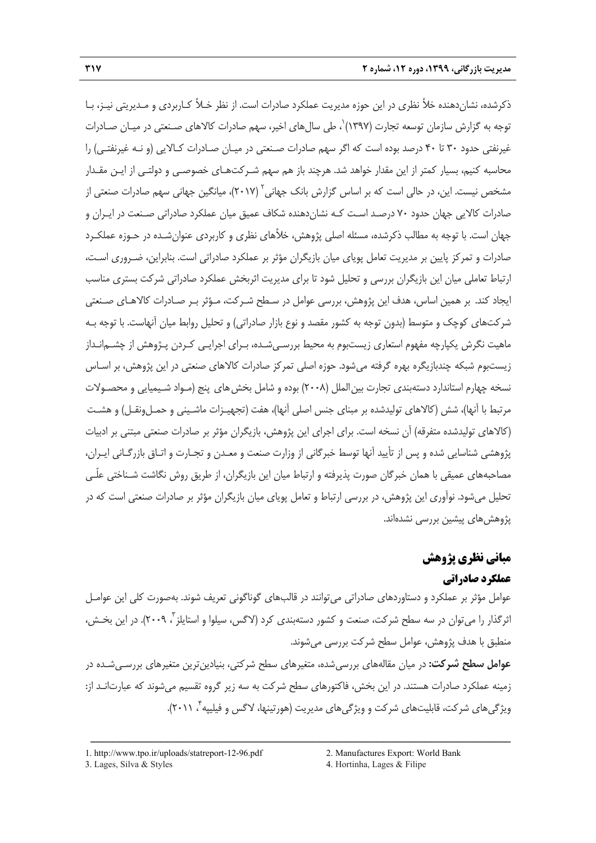ذكرشده، نشاندهنده خلأ نظري در اين حوزه مديريت عملكرد صادرات است. از نظر خـلأ كـاربردي و مـديريتي نيـز، بـا توجه به گزارش سازمان توسعه تجارت (١٣٩٧) ٰ، طي سال هاي اخير، سهم صادرات كالاهاي صـنعتي در ميـان صـادرات غيرنفتي حدود 30 تا 40 درصد بوده است كه اگر سهم صادرات صـنعتي در ميـان صـادرات كـالايي (و نـه غيرنفتـي) را محاسبه كنيم، بسيار كمتر از اين مقدار خواهد شد. هرچند باز هم سهم شـركتهـاي خصوصـي و دولتـي از ايـن مقـدار مشخص نيست. اين، در حالي است كه بر اساس گزارش بانک جهاني<sup>۲</sup> (۲۰۱۷)، ميانگين جهاني سهم صادرات صنعتي از صادرات كالايي جهان حدود 70 درصـد اسـت كـه نشاندهنده شكاف عميق ميان عملكرد صادراتي صـنعت در ايـران و جهان است. با توجه به مطالب ذكرشده، مسئله اصلي پژوهش، خلأهاي نظري و كاربردي عنوانشـده در حـوزه عملكـرد صادرات و تمركز پايين بر مديريت تعامل پوياي ميان بازيگران مؤثر بر عملكرد صادراتي است. بنابراين، ضـروري اسـت، ارتباط تعاملي ميان اين بازيگران بررسي و تحليل شود تا براي مديريت اثربخش عملكرد صادراتي شركت بستري مناسب ايجاد كند. بر همين اساس، هدف اين پژوهش، بررسي عوامل در سـطح شـركت، مـؤثر بـر صـادرات كالاهـاي صـنعتي شركتهاي كوچك و متوسط (بدون توجه به كشور مقصد و نوع بازار صادراتي) و تحليل روابط ميان آنهاست. با توجه بـه ماهيت نگرش يكپارچه مفهوم استعاري زيستبوم به محيط بررسـيشـده، بـراي اجرايـي كـردن پـژوهش از چشـمانـداز زيستبوم شبكه چندبازيگره بهره گرفته ميشود. حوزه اصلي تمركز صادرات كالاهاي صنعتي در اين پژوهش، بر اسـاس نسخه چهارم استاندارد دستهبندي تجارت بين الملل (٢٠٠٨) بوده و شامل بخش هاي پنج (مـواد شـيميايي و محصـولات مرتبط با آنها)، شش (كالاهاي توليدشده بر مبناي جنس اصلي آنها)، هفت (تجهيـزات ماشـيني و حمـلونقـل) و هشـت (كالاهاي توليدشده متفرقه) آن نسخه است. براي اجراي اين پژوهش، بازيگران مؤثر بر صادرات صنعتي مبتني بر ادبيات پژوهشي شناسايي شده و پس از تأييد آنها توسط خبرگاني از وزارت صنعت و معـدن و تجـارت و اتـاق بازرگـاني ايـران، مصاحبههاي عميقي با همان خبرگان صورت پذيرفته و ارتباط ميان اين بازيگران، از طريق روش نگاشت شـناختي علّـي تحليل ميشود. نوآوري اين پژوهش، در بررسي ارتباط و تعامل پوياي ميان بازيگران مؤثر بر صادرات صنعتي است كه در پژوهشهاي پيشين بررسي نشدهاند.

# **مباني نظري پژوهش**

# **عملكرد صادراتي**

عوامل مؤثر بر عملكرد و دستاوردهاي صادراتي ميتوانند در قالبهاي گوناگوني تعريف شوند. بهصورت كلي اين عوامـل اثرگذار را مي¤وان در سه سطح شركت، صنعت و كشور دستهبندي كرد (لاگس، سيلوا و استايلز <sup>۲</sup>، ۲۰۰۹). در اين بخــش، منطبق با هدف پژوهش، عوامل سطح شركت بررسي ميشوند.

**عوامل سطح شركت:** در ميان مقالههاي بررسيشده، متغيرهاي سطح شركتي، بنيادينترين متغيرهاي بررسـيشـده در زمينه عملكرد صادرات هستند. در اين بخش، فاكتورهاي سطح شركت به سه زير گروه تقسيم ميشوند كه عبارتانـد از: ويژگيهاي شركت، قابليتهاي شركت و ويژگيهاي مديريت (هورتينها، لاگس و فيليپه <sup>4</sup>.(2011 ،

<sup>1.</sup> http://www.tpo.ir/uploads/statreport-12-96.pdf 2. Manufactures Export: World Bank

<sup>3.</sup> Lages, Silva & Styles 4. Hortinha, Lages & Filipe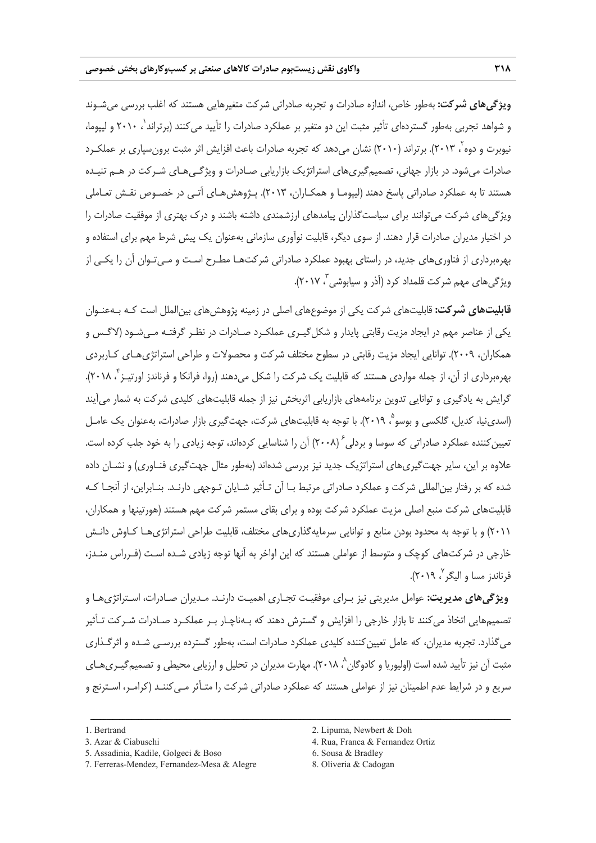**ويژگيهاي شركت:** بهطور خاص، اندازه صادرات و تجربه صادراتي شركت متغيرهايي هستند كه اغلب بررسي ميشـوند و شواهد تجربی بهطور گستردهای تأثير مثبت اين دو متغير بر عملكرد صادرات را تأييد میكنند (برتراند ٰ، ۲۰۱۰ و ليپوما، نيوبرت و دوه<sup>7</sup>، ٢٠١٣). برتراند (٢٠١٠) نشان مي<هد كه تجربه صادرات باعث افزايش اثر مثبت برونسپاري بر عملكـرد صادرات ميشود. در بازار جهاني، تصميمگيريهاي استراتژيك بازاريابي صـادرات و ويژگـيهـاي شـركت در هـم تنيـده هستند تا به عملكرد صادراتي پاسخ دهند (ليپومـا و همكـاران، 2013). پـژوهشهـاي آتـي در خصـوص نقـش تعـاملي ويژگيهاي شركت ميتوانند براي سياستگذاران پيامدهاي ارزشمندي داشته باشند و درك بهتري از موفقيت صادرات را در اختيار مديران صادرات قرار دهند. از سوي ديگر، قابليت نوآوري سازماني بهعنوان يك پيش شرط مهم براي استفاده و بهرهبرداري از فناوريهاي جديد، در راستاي بهبود عملكرد صادراتي شركتهـا مطـرح اسـت و مـيتـوان آن را يكـي از ، 2017).<sup>3</sup> ويژگيهاي مهم شركت قلمداد كرد (آذر و سيابوشي

**قابليتهاي شركت:** قابليتهاي شركت يكي از موضوعهاي اصلي در زمينه پژوهشهاي بينالملل است كـه بـهعنـوان يكي از عناصر مهم در ايجاد مزيت رقابتي پايدار و شكلگيـري عملكـرد صـادرات در نظـر گرفتـه مـيشـود (لاگـس و همكاران، 2009). توانايي ايجاد مزيت رقابتي در سطوح مختلف شركت و محصولات و طراحي استراتژيهـاي كـاربردي بهرهبرداری از آن، از جمله مواردی هستند که قابلیت یک شرکت را شکل میدهند (روا، فرانکا و فرناندز اورتیـز ً' ۲۰۱۸). گرايش به يادگيري و توانايي تدوين برنامههاي بازاريابي اثربخش نيز از جمله قابليتهاي كليدي شركت به شمار ميآيند (اسدي نيا، كديل، گلكسي و بوسو ْ، ٢٠١٩). با توجه به قابليتهاي شركت، جهتگيري بازار صادرات، بهعنوان يک عامـل تعيين كننده عملكرد صادراتي كه سوسا و بردلي  $( \mathsf{y} \cdot \mathsf{A} )$  آن را شناسايي كردهاند، توجه زيادي را به خود جلب كرده است. علاوه بر اين، ساير جهتگيريهاي استراتژيك جديد نيز بررسي شدهاند (بهطور مثال جهتگيري فنـاوري) و نشـان داده شده كه بر رفتار بينالمللي شركت و عملكرد صادراتي مرتبط بـا آن تـأثير شـايان تـوجهي دارنـد. بنـابراين، از آنجـا كـه قابليتهاي شركت منبع اصلي مزيت عملكرد شركت بوده و براي بقاي مستمر شركت مهم هستند (هورتينها و همكاران، 2011) و با توجه به محدود بودن منابع و توانايي سرمايهگذاريهاي مختلف، قابليت طراحي استراتژيهـا كـاوش دانـش خارجي در شركتهاي كوچك و متوسط از عواملي هستند كه اين اواخر به آنها توجه زيادي شـده اسـت (فـرراس منـدز، ، 2019).<sup>7</sup> فرناندز مسا و اليگر

**ويژگيهاي مديريت:** عوامل مديريتي نيز بـراي موفقيـت تجـاري اهميـت دارنـد. مـديران صـادرات، اسـتراتژيهـا و تصميمهايي اتخاذ ميكنند تا بازار خارجي را افزايش و گسترش دهند كه بـهناچـار بـر عملكـرد صـادرات شـركت تـأثير ميگذارد. تجربه مديران، كه عامل تعيينكننده كليدي عملكرد صادرات است، بهطور گسترده بررسـي شـده و اثرگـذاري مثبت آن نيز تأييد شده است (اوليوريا و كادوگان^، ٢٠١٨). مهارت مديران در تحليل و ارزيابي محيطي و تصميمگيـرىهـاي سريع و در شرايط عدم اطمينان نيز از عواملي هستند كه عملكرد صادراتي شركت را متـأثر مـيكننـد (كرامـر، اسـترنج و

<sup>5.</sup> Assadinia, Kadile, Golgeci & Boso 6. Sousa & Bradley

<sup>7.</sup> Ferreras-Mendez, Fernandez-Mesa & Alegre 8. Oliveria & Cadogan

<sup>1.</sup> Bertrand 2. Lipuma, Newbert & Doh

<sup>3.</sup> Azar & Ciabuschi 4. Rua, Franca & Fernandez Ortiz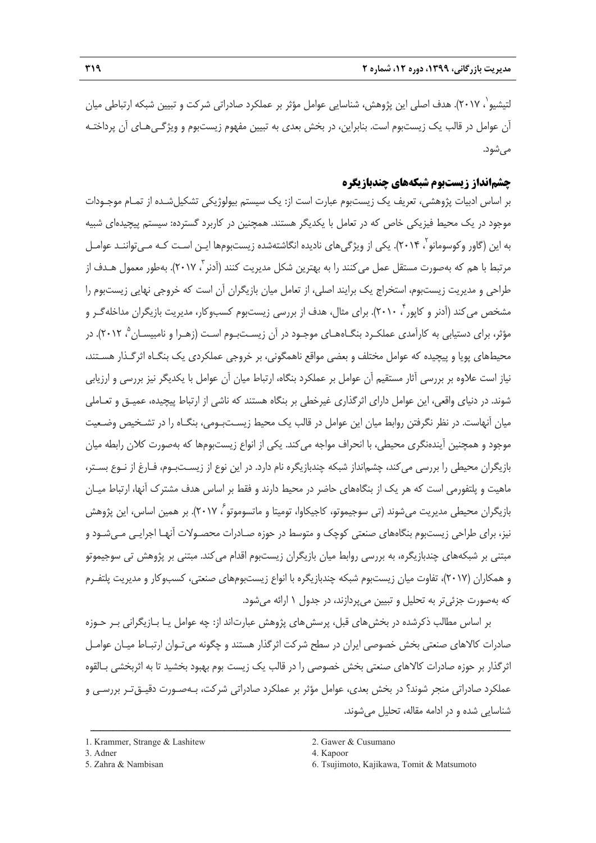لتيشيو`، ٢٠١٧). هدف اصلي اين پژوهش، شناسايي عوامل مؤثر بر عملكرد صادراتي شركت و تبيين شبكه ارتباطي ميان آن عوامل در قالب يك زيستبوم است. بنابراين، در بخش بعدي به تبيين مفهوم زيستبوم و ويژگـيهـاي آن پرداختـه مے شود.

# **چشمانداز زيستبوم شبكههاي چندبازيگره**

بر اساس ادبيات پژوهشي، تعريف يك زيستبوم عبارت است از: يك سيستم بيولوژيكي تشكيلشـده از تمـام موجـودات موجود در يك محيط فيزيكي خاص كه در تعامل با يكديگر هستند. همچنين در كاربرد گسترده: سيستم پيچيدهاي شبيه به اين (گاور وكوسومانو<sup>۲</sup>، ۲۰۱۴). يكى از ويژگىهاى ناديده انگاشتهشده زيستبومها ايـن اسـت كـه مـىتواننـد عوامـل مرتبط با هم كه بهصورت مستقل عمل مى كنند را به بهترين شكل مديريت كنند (آدنر <sup>۳</sup> ۲۰۱۷). بهطور معمول هـدف از طراحي و مديريت زيستبوم، استخراج يك برايند اصلي، از تعامل ميان بازيگران آن است كه خروجي نهايي زيستبوم را مشخص می كند (اَدنر و كاپور ۲۰۱۰). برای مثال، هدف از بررسی زیستبوم كسبوكار، مدیریت بازیگران مداخلهگـر و مؤثر، براي دستيابي به كارآمدي عملكـرد بنگــاههـاي موجـود در آن زيسـتبـوم اسـت (زهـرا و نامبيسـان °، ٢٠١٢). در محيطهاي پويا و پيچيده كه عوامل مختلف و بعضي مواقع ناهمگوني، بر خروجي عملكردي يك بنگـاه اثرگـذار هسـتند، نياز است علاوه بر بررسي آثار مستقيم آن عوامل بر عملكرد بنگاه، ارتباط ميان آن عوامل با يكديگر نيز بررسي و ارزيابي شوند. در دنياي واقعي، اين عوامل داراي اثرگذاري غيرخطي بر بنگاه هستند كه ناشي از ارتباط پيچيده، عميـق و تعـاملي ميان آنهاست. در نظر نگرفتن روابط ميان اين عوامل در قالب يك محيط زيسـتبـومي، بنگـاه را در تشـخيص وضـعيت موجود و همچنين آيندهنگري محيطي، با انحراف مواجه ميكند. يكي از انواع زيستبومها كه بهصورت كلان رابطه ميان بازيگران محيطي را بررسي ميكند، چشمانداز شبكه چندبازيگره نام دارد. در اين نوع از زيسـتبـوم، فـارغ از نـوع بسـتر، ماهيت و پلتفورمي است كه هر يك از بنگاههاي حاضر در محيط دارند و فقط بر اساس هدف مشترك آنها، ارتباط ميـان بازيگران محيطي مديريت مي شوند (تي سوجيموتو، كاجيكاوا، توميتا و ماتسوموتو ، ٢٠١٧). بر همين اساس، اين پژوهش نيز، براي طراحي زيستبوم بنگاههاي صنعتي كوچك و متوسط در حوزه صـادرات محصـولات آنهـا اجرايـي مـيشـود و مبتني بر شبكههاي چندبازيگره، به بررسي روابط ميان بازيگران زيستبوم اقدام ميكند. مبتني بر پژوهش تي سوجيموتو و همكاران (2017)، تفاوت ميان زيستبوم شبكه چندبازيگره با انواع زيستبومهاي صنعتي، كسبوكار و مديريت پلتفـرم كه بهصورت جزئيتر به تحليل و تبيين ميپردازند، در جدول 1 ارائه ميشود.

بر اساس مطالب ذكرشده در بخشهاي قبل، پرسشهاي پژوهش عبارتاند از: چه عوامل يـا بـازيگراني بـر حـوزه صادرات كالاهاي صنعتي بخش خصوصي ايران در سطح شركت اثرگذار هستند و چگونه ميتـوان ارتبـاط ميـان عوامـل اثرگذار بر حوزه صادرات كالاهاي صنعتي بخش خصوصي را در قالب يك زيست بوم بهبود بخشيد تا به اثربخشي بـالقوه عملكرد صادراتي منجر شوند؟ در بخش بعدي، عوامل مؤثر بر عملكرد صادراتي شركت، بـهصـورت دقيـقتـر بررسـي و شناسايي شده و در ادامه مقاله، تحليل ميشوند.

- 
- 

<sup>1.</sup> Krammer, Strange & Lashitew 2. Gawer & Cusumano

<sup>3.</sup> Adner 4. Kapoor

<sup>5.</sup> Zahra & Nambisan 6. Tsujimoto, Kajikawa, Tomit & Matsumoto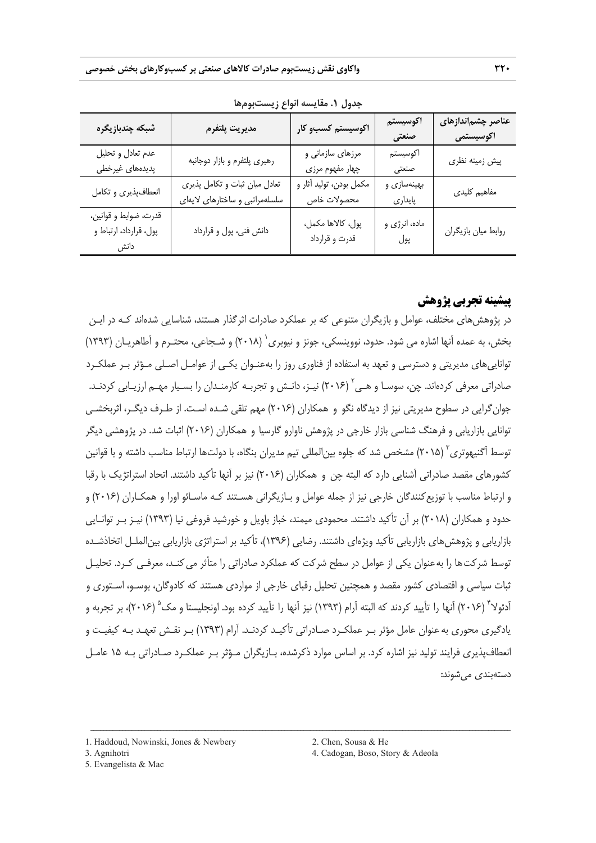| شبكه چندبازيگره                                 | مديريت پلتفرم                                                   | اکوسیستم کسبو کار                      | اكوسيستم<br>صنعتی      | عناصر چشماندازهای<br>اكوسيستمى |
|-------------------------------------------------|-----------------------------------------------------------------|----------------------------------------|------------------------|--------------------------------|
| عدم تعادل و تحليل<br>پدیدههای غیرخطی            | رهبري پلتفرم و بازار دوجانبه                                    | مرزهای سازمانی و<br>چهار مفهوم مرزی    | اكوسيستم<br>صنعتى      | پیش زمینه نظری                 |
| انعطافپذیری و تکامل                             | تعادل میان ثبات و تکامل پذیری<br>سلسلهمراتبي و ساختارهاي لايهاي | مكمل بودن، توليد أثار و<br>محصولات خاص | بهینهسازی و<br>پايداري | مفاهیم کلیدی                   |
| قدرت، ضوابط و قوانين،<br>پول، قرارداد، ارتباط و | دانش فني، پول و قرارداد                                         | پول، كالاها مكمل،<br>قدرت و قرارداد    | ماده، انرژي و<br>پول   | روابط ميان بازيگران            |

**جدول .1 مقايسه انواع زيستبومها** 

# **پيشينه تجربي پژوهش**

در پژوهشهاي مختلف، عوامل و بازيگران متنوعي كه بر عملكرد صادرات اثرگذار هستند، شناسايي شدهاند كـه در ايـن بخش، به عمده آنها اشاره مي شود. حدود، نووينسكي، جونز و نيوبري` (٢٠١٨) و شـجاعي، محتـرم و آطاهريـان (١٣٩٣) تواناييهاي مديريتي و دسترسي و تعهد به استفاده از فناوري روز را بهعنـوان يكـي از عوامـل اصـلي مـؤثر بـر عملكـرد صادراتي معرفي كردهاند. چن، سوسـا و هـي ٔ (۲۰۱۶) نيـز، دانـش و تجربـه كارمنـدان را بسـيار مهـم ارزيـابي كردنـد. جوانگرايي در سطوح مديريتي نيز از ديدگاه نگو و همكاران (2016) مهم تلقي شـده اسـت. از طـرف ديگـر، اثربخشـي توانايي بازاريابي و فرهنگ شناسي بازار خارجي در پژوهش ناوارو گارسيا و همكاران (2016) اثبات شد. در پژوهشي ديگر توسط آگنيهوتري ` (٢٠١۵) مشخص شد كه جلوه بين|لمللي تيم مديران بنگاه، با دولتها ارتباط مناسب داشته و با قوانين كشورهاي مقصد صادراتي آشنايي دارد كه البته چن و همكاران (2016) نيز بر آنها تأكيد داشتند. اتحاد استراتژيك با رقبا و ارتباط مناسب با توزيعكنندگان خارجي نيز از جمله عوامل و بـازيگراني هسـتند كـه ماسـائو اورا و همكـاران (2016) و حدود و همكاران (2018) بر آن تأكيد داشتند. محمودي ميمند، خباز باويل و خورشيد فروغي نيا (1393) نيـز بـر توانـايي بازاريابي و پژوهشهاي بازاريابي تأكيد ويژهاي داشتند. رضايي (1396)، تأكيد بر استراتژي بازاريابي بينالملـل اتخاذشـده توسط شركت ها را به عنوان يكي از عوامل در سطح شركت كه عملكرد صادراتي را متأثر مي كنـد، معرفـي كـرد. تحليـل ثبات سياسي و اقتصادي كشور مقصد و همچنين تحليل رقباي خارجي از مواردي هستند كه كادوگان، بوسـو، اسـتوري و آدئولاً (٢٠١۶) آنها را تأييد كردند كه البته آرام (١٣٩٣) نيز آنها را تأييد كرده بود. اونجليستا و مك 4 (٢٠١۶)، بر تجربه و يادگيري محوري بهعنوان عامل مؤثر بـر عملكـرد صـادراتي تأكيـد كردنـد. آرام (1393) بـر نقـش تعهـد بـه كيفيـت و انعطافپذيري فرايند توليد نيز اشاره كرد. بر اساس موارد ذكرشده، بـازيگران مـؤثر بـر عملكـرد صـادراتي بـه 15 عامـل دستهبندي ميشوند:

ــــــــــــــــــــــــــــــــــــــــــــــــــــــــــــــــــــــــــــــــــــــــــــــــــــــــــــــــــــــــــــــــــــ

3. Agnihotri 4. Cadogan, Boso, Story & Adeola

<sup>1.</sup> Haddoud, Nowinski, Jones & Newbery 2. Chen, Sousa & He

<sup>5.</sup> Evangelista & Mac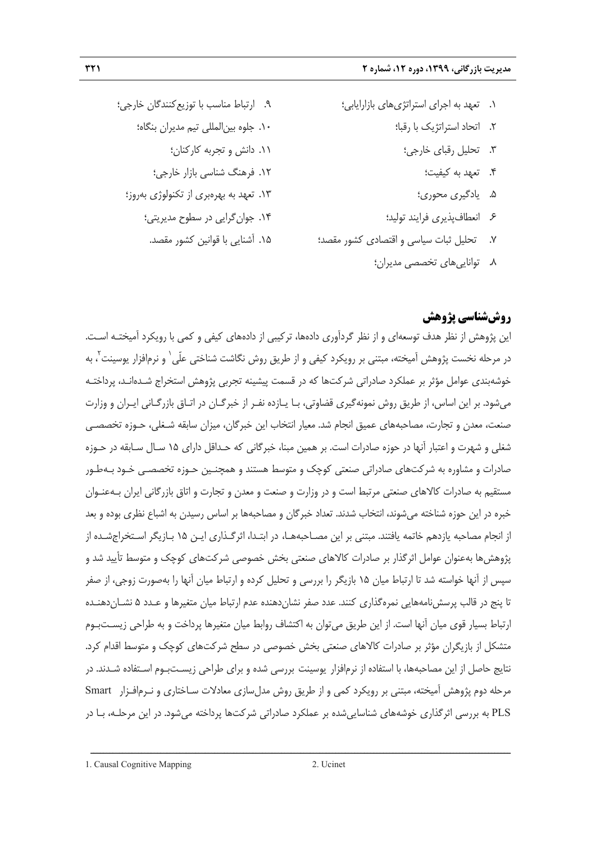- .9 ارتباط مناسب با توزيعكنندگان خارجي؛ .10 جلوه بينالمللي تيم مديران بنگاه؛ .11 دانش و تجربه كاركنان؛ .12 فرهنگ شناسي بازار خارجي؛ .13 تعهد به بهرهبري از تكنولوژي بهروز؛ .14 جوانگرايي در سطوح مديريتي؛ .15 آشنايي با قوانين كشور مقصد.
- .1 تعهد به اجراي استراتژيهاي بازارايابي؛
	- .2 اتحاد استراتژيك با رقبا؛
		- .3 تحليل رقباي خارجي؛
			- .4 تعهد به كيفيت؛
			- .5 يادگيري محوري؛
	- .6 انعطافپذيري فرايند توليد؛
- .7 تحليل ثبات سياسي و اقتصادي كشور مقصد؛
	-
	- .8 تواناييهاي تخصصي مديران؛

# **روششناسي پژوهش**

اين پژوهش از نظر هدف توسعهاي و از نظر گردآوري دادهها، تركيبي از دادههاي كيفي و كمي با رويكرد آميختـه اسـت. در مرحله نخست پژوهش آميخته، مبتنى بر رويكرد كيفى و از طريق روش نگاشت شناختى علّى` و نرمافزار يوسينت<sup>٬</sup>، به خوشهبندي عوامل مؤثر بر عملكرد صادراتي شركتها كه در قسمت پيشينه تجربي پژوهش استخراج شـدهانـد، پرداختـه ميشود. بر اين اساس، از طريق روش نمونهگيري قضاوتي، بـا يـازده نفـر از خبرگـان در اتـاق بازرگـاني ايـران و وزارت صنعت، معدن و تجارت، مصاحبههاي عميق انجام شد. معيار انتخاب اين خبرگان، ميزان سابقه شـغلي، حـوزه تخصصـي شغلي و شهرت و اعتبار آنها در حوزه صادرات است. بر همين مبنا، خبرگاني كه حـداقل داراي 15 سـال سـابقه در حـوزه صادرات و مشاوره به شركتهاي صادراتي صنعتي كوچك و متوسط هستند و همچنـين حـوزه تخصصـي خـود بـهطـور مستقيم به صادرات كالاهاي صنعتي مرتبط است و در وزارت و صنعت و معدن و تجارت و اتاق بازرگاني ايران بـهعنـوان خبره در اين حوزه شناخته ميشوند، انتخاب شدند. تعداد خبرگان و مصاحبهها بر اساس رسيدن به اشباع نظري بوده و بعد از انجام مصاحبه يازدهم خاتمه يافتند. مبتني بر اين مصـاحبههـا، در ابتـدا، اثرگـذاري ايـن 15 بـازيگر اسـتخراجشـده از پژوهشها بهعنوان عوامل اثرگذار بر صادرات كالاهاي صنعتي بخش خصوصي شركتهاي كوچك و متوسط تأييد شد و سپس از آنها خواسته شد تا ارتباط ميان 15 بازيگر را بررسي و تحليل كرده و ارتباط ميان آنها را بهصورت زوجي، از صفر تا پنج در قالب پرسشنامههايي نمرهگذاري كنند. عدد صفر نشاندهنده عدم ارتباط ميان متغيرها و عـدد 5 نشـاندهنـده ارتباط بسيار قوي ميان آنها است. از اين طريق ميتوان به اكتشاف روابط ميان متغيرها پرداخت و به طراحي زيسـتبـوم متشكل از بازيگران مؤثر بر صادرات كالاهاي صنعتي بخش خصوصي در سطح شركتهاي كوچك و متوسط اقدام كرد. نتايج حاصل از اين مصاحبهها، با استفاده از نرمافزار يوسينت بررسي شده و براي طراحي زيسـتبـوم اسـتفاده شـدند. در مرحله دوم پژوهش آميخته، مبتني بر رويكرد كمي و از طريق روش مدلسازي معادلات سـاختاري و نـرمافـزار Smart PLS به بررسي اثرگذاري خوشههاي شناساييشده بر عملكرد صادراتي شركتها پرداخته ميشود. در اين مرحلـه، بـا در

1. Causal Cognitive Mapping 2. Ucinet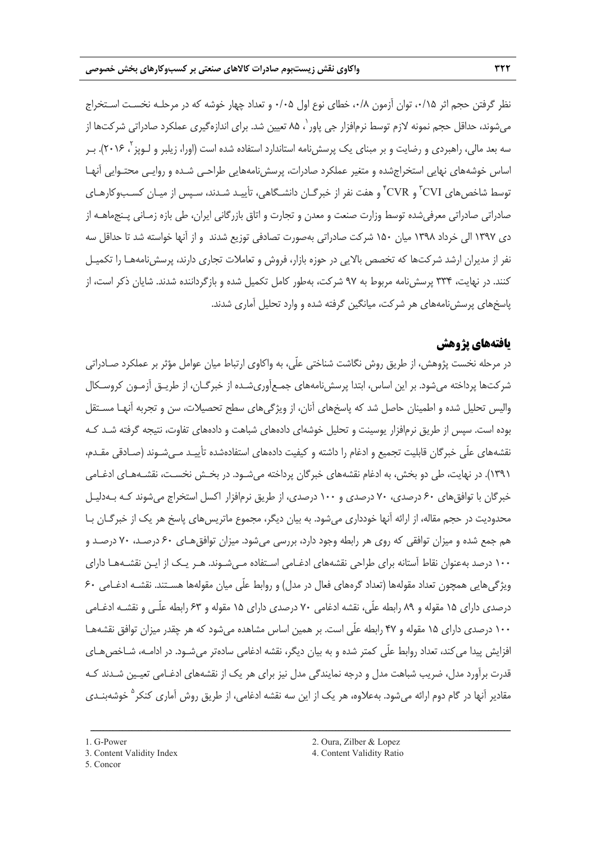نظر گرفتن حجم اثر ۰/۱۵، توان آزمون ۰/۸، خطاي نوع اول ۰/۰۵ و تعداد چهار خوشه كه در مرحلـه نخسـت اسـتخراج میشوند، حداقل حجم نمونه لازم توسط نرمافزار جی پاور<sup>`</sup>، ۸۵ تعیین شد. برای اندازهگیری عملکرد صادراتی شرکتها از سه بعد مالی، راهبردی و رضایت و بر مبنای یک پرسشiامه استاندارد استفاده شده است (اورا، زیلبر و لـوپز<sup>۲</sup>، ۲۰۱۶). بـر اساس خوشههاي نهايي استخراجشده و متغير عملكرد صادرات، پرسشنامههايي طراحـي شـده و روايـي محتـوايي آنهـا نوسط شاخصهای CVI° و CVR° و هفت نفر از خبرگـان دانشـگاهی، تأييـد شـدند، سـپس از ميـان كسـبوكارهـای صادراتي صادراتي معرفيشده توسط وزارت صنعت و معدن و تجارت و اتاق بازرگاني ايران، طي بازه زمـاني پـنجماهـه از دي 1397 الي خرداد 1398 ميان 150 شركت صادراتي بهصورت تصادفي توزيع شدند و از آنها خواسته شد تا حداقل سه نفر از مديران ارشد شركتها كه تخصص بالايي در حوزه بازار، فروش و تعاملات تجاري دارند، پرسشنامههـا را تكميـل كنند. در نهايت، 334 پرسشنامه مربوط به 97 شركت، بهطور كامل تكميل شده و بازگرداننده شدند. شايان ذكر است، از پاسخهاي پرسشنامههاي هر شركت، ميانگين گرفته شده و وارد تحليل آماري شدند.

# **يافتههاي پژوهش**

در مرحله نخست پژوهش، از طريق روش نگاشت شناختي علّي، به واكاوي ارتباط ميان عوامل مؤثر بر عملكرد صـادراتي شركتها پرداخته ميشود. بر اين اساس، ابتدا پرسشنامههاي جمـعآوريشـده از خبرگـان، از طريـق آزمـون كروسـكال واليس تحليل شده و اطمينان حاصل شد كه پاسخهاي آنان، از ويژگيهاي سطح تحصيلات، سن و تجربه آنهـا مسـتقل بوده است. سپس از طريق نرمافزار يوسينت و تحليل خوشهاي دادههاي شباهت و دادههاي تفاوت، نتيجه گرفته شـد كـه نقشههاي علّي خبرگان قابليت تجميع و ادغام را داشته و كيفيت دادههاي استفادهشده تأييـد مـيشـوند (صـادقي مقـدم، 1391). در نهايت، طي دو بخش، به ادغام نقشههاي خبرگان پرداخته ميشـود. در بخـش نخسـت، نقشـههـاي ادغـامي خبرگان با توافقهاي ۶۰ درصدي، ۷۰ درصدي و ۱۰۰ درصدي، از طريق نرمافزار اكسل استخراج ميشوند كـه بـهدليـل محدوديت در حجم مقاله، از ارائه آنها خودداري ميشود. به بيان ديگر، مجموع ماتريسهاي پاسخ هر يك از خبرگـان بـا هم جمع شده و ميزان توافقي كه روي هر رابطه وجود دارد، بررسي ميشود. ميزان توافقهـاي 60 درصـد، 70 درصـد و 100 درصد بهعنوان نقاط آستانه براي طراحي نقشههاي ادغـامي اسـتفاده مـيشـوند. هـر يـك از ايـن نقشـههـا داراي ويژگيهايي همچون تعداد مقولهها (تعداد گرههاي فعال در مدل) و روابط علّي ميان مقولهها هسـتند. نقشـه ادغـامي 60 درصدي داراي 15 مقوله و 89 رابطه علّي، نقشه ادغامي 70 درصدي داراي 15 مقوله و 63 رابطه علّـي و نقشـه ادغـامي 100 درصدي داراي 15 مقوله و 47 رابطه علّي است. بر همين اساس مشاهده ميشود كه هر چقدر ميزان توافق نقشههـا افزايش پيدا مي كند، تعداد روابط علّي كمتر شده و به بيان ديگر، نقشه ادغامي سادهتر مي شـود. در ادامـه، شـاخصهـاي قدرت برآورد مدل، ضريب شباهت مدل و درجه نمايندگي مدل نيز براي هر يك از نقشههاي ادغـامي تعيـين شـدند كـه مقادير آنها در گام دوم ارائه مي شود. بهعلاوه، هر يک از اين سه نقشه ادغامي، از طريق روش آماري كنكر <sup>۵</sup> خوشهب*نـدي* 

<sup>3.</sup> Content Validity Index 4. Content Validity Ratio

<sup>5.</sup> Concor

<sup>1.</sup> G-Power 2. Oura, Zilber & Lopez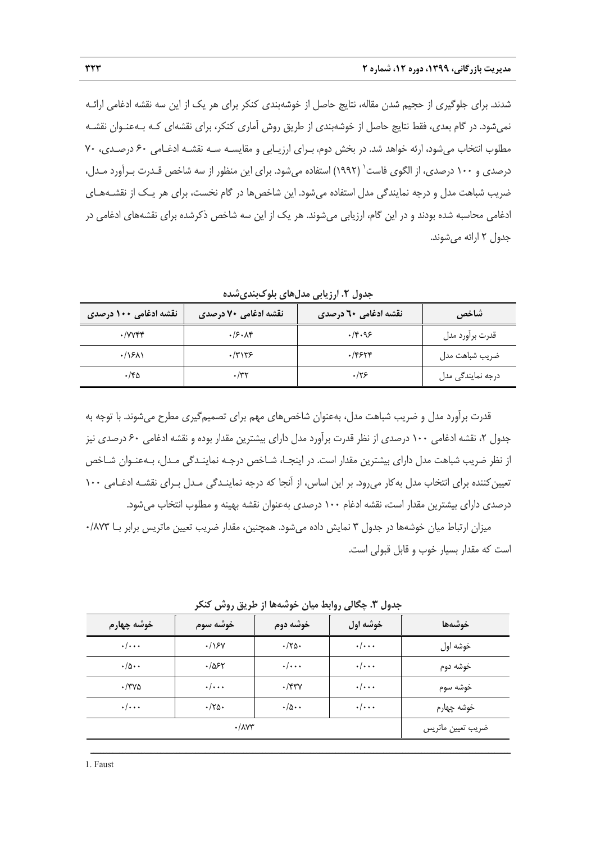شدند. براي جلوگيري از حجيم شدن مقاله، نتايج حاصل از خوشهبندي كنكر براي هر يك از اين سه نقشه ادغامي ارائـه نميشود. در گام بعدي، فقط نتايج حاصل از خوشهبندي از طريق روش آماري كنكر، براي نقشهاي كـه بـهعنـوان نقشـه مطلوب انتخاب ميشود، ارئه خواهد شد. در بخش دوم، بـراي ارزيـابي و مقايسـه سـه نقشـه ادغـامي 60 درصـدي، 70 درصدي و ١٠٠ درصدي، از الگوي فاست<sup>(</sup> (١٩٩٢) استفاده مي شود. براي اين منظور از سه شاخص قـدرت بـرآورد مـدل، ضريب شباهت مدل و درجه نمايندگي مدل استفاده ميشود. اين شاخصها در گام نخست، براي هر يـك از نقشـههـاي ادغامي محاسبه شده بودند و در اين گام، ارزيابي ميشوند. هر يك از اين سه شاخص ذكرشده براي نقشههاي ادغامي در جدول 2 ارائه ميشوند.

**جدول .2 ارزيابي مدلهاي بلوكبنديشده** 

| ٔ نقشه ادغامی ۱۰۰ درصدی     | نقشه ادغامی ۷۰ درصدی | <b>ٰ نقشه ادغامی 20 درصدی</b> | شاخص                      |
|-----------------------------|----------------------|-------------------------------|---------------------------|
| $\cdot$ / $V$ $V$ $V$ $V$   | .75.14               | .14.95                        | قدرت برأورد مدل           |
| $\cdot$ / $\cdot$ / $\cdot$ | $\cdot$ /۳۱۳۶        | .75514                        | ضريب شباهت مدل            |
| ۱۴۵.                        | $\cdot$ /۳۲          | ۰/۲۶                          | درجه نمایندگ <i>ی</i> مدل |

قدرت برآورد مدل و ضريب شباهت مدل، بهعنوان شاخصهاي مهم براي تصميمگيري مطرح ميشوند. با توجه به جدول ۲، نقشه ادغامي ۱۰۰ درصدي از نظر قدرت برآورد مدل داراي بيشترين مقدار بوده و نقشه ادغامي ۶۰ درصدي نيز از نظر ضريب شباهت مدل داراي بيشترين مقدار است. در اينجـا، شـاخص درجـه نماينـدگي مـدل، بـهعنـوان شـاخص تعيين كننده براي انتخاب مدل بهكار مي رود. بر اين اساس، از آنجا كه درجه نماينـدگي مـدل بـراي نقشـه ادغـامي ١٠٠ درصدي داراي بيشترين مقدار است، نقشه ادغام 100 درصدي بهعنوان نقشه بهينه و مطلوب انتخاب ميشود.

ميزان ارتباط ميان خوشهها در جدول ٣ نمايش داده مي شود. همچنين، مقدار ضريب تعيين ماتريس برابر بــا ٨٧٣/٠ است كه مقدار بسيار خوب و قابل قبولي است.

| 'ر حرین روس تنامر<br>جنون ۰۰ چنانی روابط نیان خوشته |                    |                            |                    |            |
|-----------------------------------------------------|--------------------|----------------------------|--------------------|------------|
| ا خوشه چهارم                                        | خوشه سوم           | خوشه دوم                   | خوشه اول           | خوشهها     |
| $\cdot/\cdot\cdot$                                  | .199               | $\cdot 70.$                | $\cdot/\cdot\cdot$ | خوشه اول   |
| $\cdot/\Delta \cdot \cdot$                          | .785               | $\cdot/\cdot\cdot$         | $\cdot/\cdot\cdot$ | خوشه دوم   |
| $\cdot$ /۳۷۵                                        | $\cdot/\cdot\cdot$ | $\cdot$ /۴۳ $\gamma$       | $\cdot/\cdot\cdot$ | خوشه سوم   |
| $\cdot/\cdot\cdot$                                  | $\cdot$ /۲۵۰       | $\cdot/\Delta \cdot \cdot$ | $\cdot/\cdot\cdot$ | خوشه چهارم |
|                                                     | ضريب تعيين ماتريس  |                            |                    |            |

**جدول .3 چگالي روابط ميان خوشهها از طريق روش كنكر**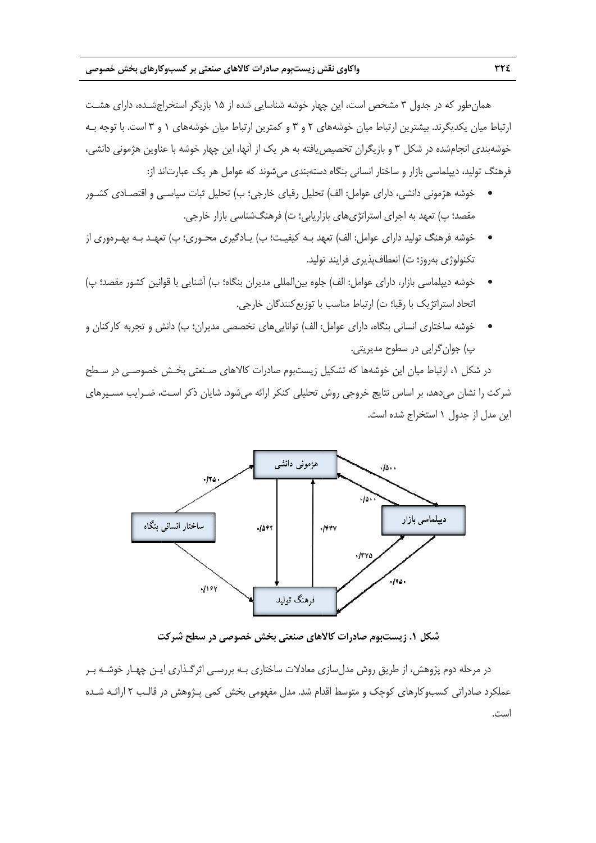همان طور كه در جدول ۳ مشخص است، اين چهار خوشه شناسايي شده از ۱۵ بازيگر استخراجشـده، داراي هشـت رتباط ميان يكديگرند. بيشترين ارتباط ميان خوشههاي ٢ و ٣ و كمترين ارتباط ميان خوشههاي ١ و ٣ است. با توجه بـه خوشهبندی انجامشده در شکل ۳ و بازیگران تخصیص یافته به هر یک از آنها، این چهار خوشه با عناوین هژمونی دانشی، فرهنگ توليد، ديپلماسي بازار و ساختار انساني بنگاه دستهبندي ميشوند كه عوامل هر يک عبارتاند از:

- خوشه هژموني دانشي، داراي عوامل: الف) تحليل رقباي خارجي؛ ب) تحليل ثبات سياسـي و اقتصــادي كشــور مقصد؛ پ) تعهد به اجرای استراتژیهای بازاریابی؛ ت) فرهنگشناسی بازار خارجی.
- خوشه فرهنگ توليد داراي عوامل: الف) تعهد بــه كيفيــت؛ ب) يــادگيري محــوري؛ پ) تعهــد بــه بهــرهوري از نكنولوژي بهروز؛ ت) انعطافپذيري فرايند توليد. •
- خوشه ديپلماسي بازار، داراي عوامل: الف) جلوه بين|لمللي مديران بنگاه؛ ب) آشنايي با قوانين كشور مقصد؛ پ) تحاد استراتژيک با رقبا؛ ت) ارتباط مناسب با توزيع كنندگان خارجي.
- خوشه ساختارى انسانى بنگاه، داراى عوامل: الف) توانايىهاى تخصصى مديران؛ ب) دانش و تجربه كاركنان و پ) جوان گرايي در سطوح مديريتي.

در شكل ۱، ارتباط ميان اين خوشهها كه تشكيل زيستبوم صادرات كالاهاى صـنعتى بخـش خصوصـى در سـطح شركت را نشان مىدهد، بر اساس نتايج خروجى روش تحليلى كنكر ارائه مىشود. شايان ذكر اسـت، ضـرايب مسـيرهاى ت. ستخراج شده است ل از جدول 1 اس اين مدل



**ت در سطح شركت خش خصوصي د لاهاي صنعتي بخ وم صادرات كالا كل .1 زيستبو شك**

در مرحله دوم پژوهش، از طريق روش مدل $\omega$ ازي معادلات ساختاري بـه بررسـي اثرگـذاري ايـن چهـار خوشـه بـر عملکرد صادراتی کسبوکارهای کوچک و متوسط اقدام شد. مدل مفهومی بخش کمی پـژوهش در قالـب ۲ ارائـه شـده است.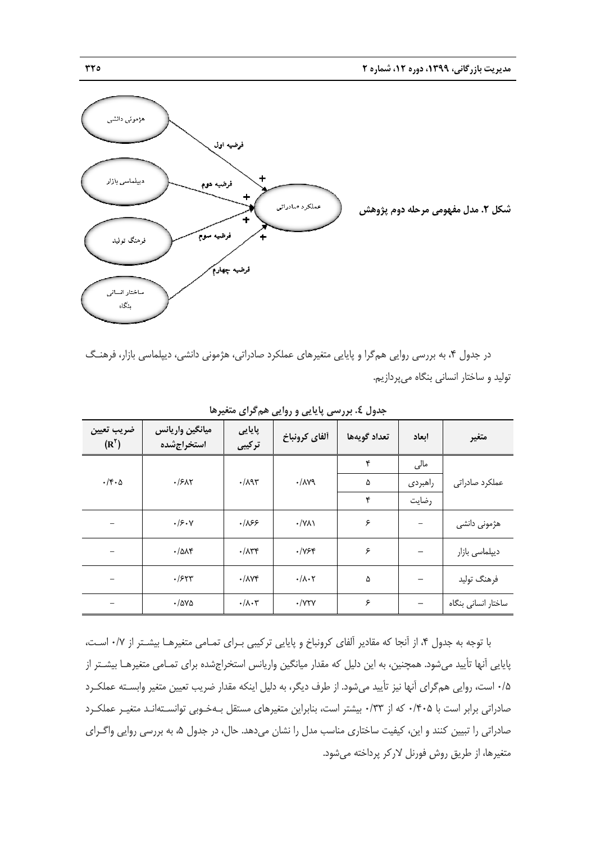

در جدول ۴، به بررسي روايي هم5را و پايايي متغيرهاي عملكرد صادراتي، هژموني دانشي، ديپلماسي بازار، فرهنـگ نوليد و ساختار انساني بنگاه ميپردازيم.

| ضريب تعيين<br>$(R^{\gamma})$ | ميانگين واريانس<br>استخراجشده | پايايى<br>ترکیبی               | ألفاي كرونباخ                | تعداد گويهها | ابعاد   | متغير               |
|------------------------------|-------------------------------|--------------------------------|------------------------------|--------------|---------|---------------------|
|                              |                               |                                |                              | ۴            | مالی    |                     |
| $\cdot$ /۴ $\cdot$ ۵         | .751                          | $\cdot/\lambda$ 95             | $Y/\lambda Y$                | ۵            | راهبردى | عملكرد صادراتي      |
|                              |                               |                                |                              | ۴            | رضايت   |                     |
|                              | .79.7                         | .185                           | $\cdot$ /YA)                 | ۶            |         | هژمونی دانشی        |
|                              | $\cdot$ / $\Delta$ A۴         | $\cdot/\lambda r$              | $\cdot$ / $Y$ ۶۴             | ۶            |         | دیپلماسی بازار      |
|                              | .755                          | $\cdot$ / $\wedge$             | $\cdot/\lambda\cdot\Upsilon$ | ۵            |         | فرهنگ تولید         |
|                              | $\cdot$ /ava                  | $\cdot/\lambda\cdot\mathsf{r}$ | $\cdot$ /YTY                 | ۶            |         | ساختار انسانى بنگاه |

**ها همگراي متغيره پايايي و روايي ول .4 بررسي پ جد**

با توجه به جدول ۴، از أنجا كه مقادير ألفاي كرونباخ و پايايي تركيبي بـراي تمـامي متغيرهـا بيشــتر از ۰/۷ اسـت، پايايي أنها تأييد ميشود. همچنين، به اين دليل كه مقدار ميانگين واريانس استخراجشده براي تمـامي متغيرهـا بيشــتر از ۰/۵ است، روايي همگراي آنها نيز تأييد ميشود. از طرف ديگر، به دليل اينكه مقدار ضريب تعيين متغير وابسـته عملكـرد صادراتی برابر است با ۰/۴۰۵ که از ۰/۳۳ بیشتر است، بنابراین متغیرهای مستقل بـهخـوبی توانسـتهانـد متغیـر عملکـرد صادراتي را تبيين كنند و اين، كيفيت ساختاري مناسب مدل را نشان ميدهد. حال، در جدول ۵، به بررسي روايي واگــراي متغيرها، از طريق روش فورنل لاركر پرداخته مىشود.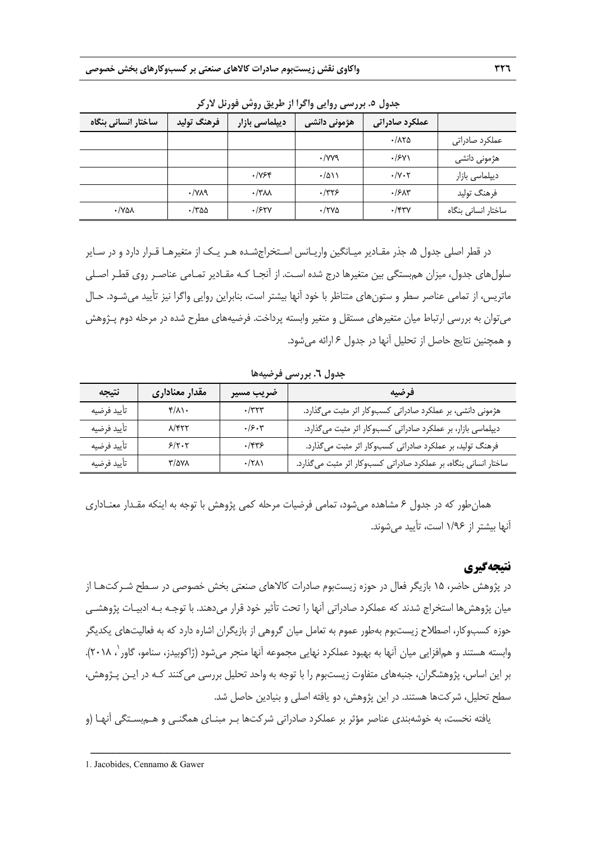| ساختار انسانی بنگاه   | فرهنگ تولید                        | ديپلماسي بازار | هژمونی دانش <i>ی</i> | عملكرد صادراتى                  |                     |
|-----------------------|------------------------------------|----------------|----------------------|---------------------------------|---------------------|
|                       |                                    |                |                      | $\cdot$ /175                    | عملكرد صادراتي      |
|                       |                                    |                | $\cdot$ /yyq         | $\cdot$ /۶۷۱                    | هژمونی دانشی        |
|                       |                                    | ۰/۷۶۴          | $\cdot/\Delta$       | $\cdot$ / $\vee$ $\cdot$ $\vee$ | دیپلماسی بازار      |
|                       | $\cdot$ / $\vee$ $\wedge$ $\wedge$ | $\cdot$ /۳۸۸   | $\cdot$ /۳۲۶         | $\cdot$ / $\mathcal{F}$         | فرهنگ توليد         |
| $\cdot$ /YA $\lambda$ | $\cdot$ /٣۵۵                       | .754V          | $\cdot$ /۲۷۵         | $\cdot$ /۴۳۷                    | ساختار انسانی بنگاه |

**جدول .5 بررسي روايي واگرا از طريق روش فورنل لاركر** 

در قطر اصلي جدول ۵، جذر مقـادير ميـانگين واريـانس اسـتخراجشـده هـر يـك از متغيرهـا قـرار دارد و در سـاير سلولهاي جدول، ميزان همبستگي بين متغيرها درج شده اسـت. از آنجـا كـه مقـادير تمـامي عناصـر روي قطـر اصـلي ماتريس، از تمامي عناصر سطر و ستونهاي متناظر با خود آنها بيشتر است، بنابراين روايي واگرا نيز تأييد ميشـود. حـال ميتوان به بررسي ارتباط ميان متغيرهاي مستقل و متغير وابسته پرداخت. فرضيههاي مطرح شده در مرحله دوم پـژوهش و همچنين نتايج حاصل از تحليل آنها در جدول 6 ارائه ميشود.

| نتيجه       | مقدار معناداري | ضريب مسير    | فرضيه                                                            |  |
|-------------|----------------|--------------|------------------------------------------------------------------|--|
| تأييد فرضيه | $f/\lambda$    | $\cdot$ /٣٢٣ | هژمونی دانشی، بر عملکرد صادراتی کسبوکار اثر مثبت میگذارد.        |  |
| تأييد فرضيه | $\lambda$ /۴۲۲ | .15.7        | دیپلماسی بازار، بر عملکرد صادراتی کسبوکار اثر مثبت میگذارد.      |  |
| تأييد فرضيه | 5/7.7          | $.$ /۴۳۶     | فرهنگ تولید، بر عملکرد صادراتی کسبوکار اثر مثبت میگذارد.         |  |
| تأييد فرضيه | ۳/۵۷۸          | $\cdot$ /٢٨١ | ساختار انسانی بنگاه، بر عملکرد صادراتی کسبوکار اثر مثبت میگذارد. |  |

**جدول .6 بررسي فرضيهها** 

همانطور كه در جدول 6 مشاهده ميشود، تمامي فرضيات مرحله كمي پژوهش با توجه به اينكه مقـدار معنـاداري آنها بيشتر از 1/96 است، تأييد ميشوند.

# **نتيجهگيري**

در پژوهش حاضر، 15 بازيگر فعال در حوزه زيستبوم صادرات كالاهاي صنعتي بخش خصوصي در سـطح شـركتهـا از ميان پژوهشها استخراج شدند كه عملكرد صادراتي آنها را تحت تأثير خود قرار ميدهند. با توجـه بـه ادبيـات پژوهشـي حوزه كسبوكار، اصطلاح زيستبوم بهطور عموم به تعامل ميان گروهي از بازيگران اشاره دارد كه به فعاليتهاي يكديگر ، 2018). <sup>1</sup> وابسته هستند و همافزايي ميان آنها به بهبود عملكرد نهايي مجموعه آنها منجر ميشود (ژاكوبيدز، سنامو، گاور بر اين اساس، پژوهشگران، جنبههاي متفاوت زيستبوم را با توجه به واحد تحليل بررسي ميكنند كـه در ايـن پـژوهش، سطح تحليل، شركتها هستند. در اين پژوهش، دو يافته اصلي و بنيادين حاصل شد.

يافته نخست، به خوشهبندي عناصر مؤثر بر عملكرد صادراتي شركتها بـر مبنـاي همگنـي و هـمبسـتگي آنهـا (و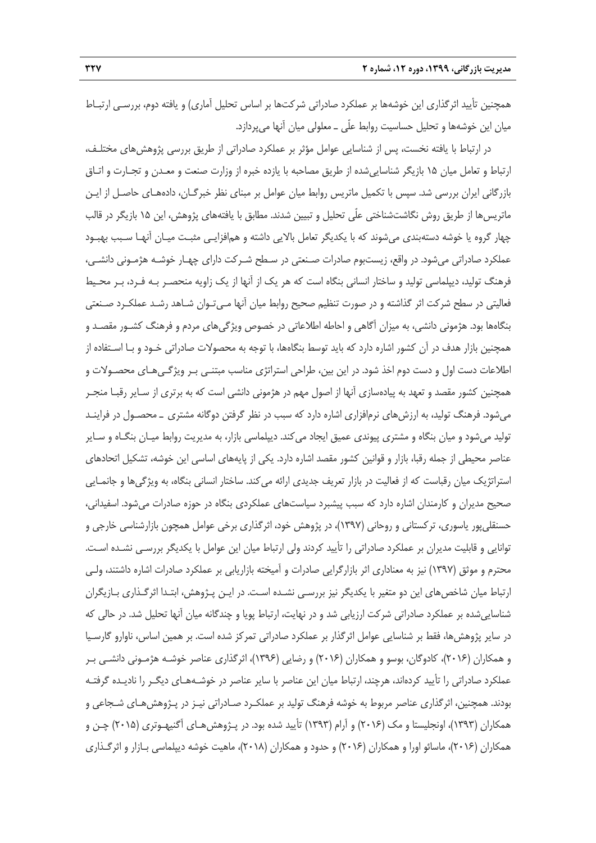همچنين تأييد اثرگذاري اين خوشهها بر عملكرد صادراتي شركتها بر اساس تحليل آماري) و يافته دوم، بررسـي ارتبـاط ميان اين خوشهها و تحليل حساسيت روابط علّي ـ معلولي ميان آنها ميپردازد.

در ارتباط با يافته نخست، پس از شناسايي عوامل مؤثر بر عملكرد صادراتي از طريق بررسي پژوهشهاي مختلـف، ارتباط و تعامل ميان 15 بازيگر شناساييشده از طريق مصاحبه با يازده خبره از وزارت صنعت و معـدن و تجـارت و اتـاق بازرگاني ايران بررسي شد. سپس با تكميل ماتريس روابط ميان عوامل بر مبناي نظر خبرگـان، دادههـاي حاصـل از ايـن ماتريسها از طريق روش نگاشتشناختي علّي تحليل و تبيين شدند. مطابق با يافتههاي پژوهش، اين 15 بازيگر در قالب چهار گروه يا خوشه دستهبندي ميشوند كه با يكديگر تعامل بالايي داشته و همافزايـي مثبـت ميـان آنهـا سـبب بهبـود عملكرد صادراتي ميشود. در واقع، زيستبوم صادرات صـنعتي در سـطح شـركت داراي چهـار خوشـه هژمـوني دانشـي، فرهنگ توليد، ديپلماسي توليد و ساختار انساني بنگاه است كه هر يك از آنها از يك زاويه منحصـر بـه فـرد، بـر محـيط فعاليتي در سطح شركت اثر گذاشته و در صورت تنظيم صحيح روابط ميان آنها مـيتـوان شـاهد رشـد عملكـرد صـنعتي بنگاهها بود. هژموني دانشي، به ميزان آگاهي و احاطه اطلاعاتي در خصوص ويژگيهاي مردم و فرهنگ كشـور مقصـد و همچنين بازار هدف در آن كشور اشاره دارد كه بايد توسط بنگاهها، با توجه به محصولات صادراتي خـود و بـا اسـتفاده از اطلاعات دست اول و دست دوم اخذ شود. در اين بين، طراحي استراتژي مناسب مبتنـي بـر ويژگـيهـاي محصـولات و همچنين كشور مقصد و تعهد به پيادهسازي آنها از اصول مهم در هژموني دانشي است كه به برتري از سـاير رقبـا منجـر ميشود. فرهنگ توليد، به ارزشهاي نرمافزاري اشاره دارد كه سبب در نظر گرفتن دوگانه مشتري ـ محصـول در فراينـد توليد ميشود و ميان بنگاه و مشتري پيوندي عميق ايجاد ميكند. ديپلماسي بازار، به مديريت روابط ميـان بنگـاه و سـاير عناصر محيطي از جمله رقبا، بازار و قوانين كشور مقصد اشاره دارد. يكي از پايههاي اساسي اين خوشه، تشكيل اتحادهاي استراتژيك ميان رقباست كه از فعاليت در بازار تعريف جديدي ارائه ميكند. ساختار انساني بنگاه، به ويژگيها و جانمـايي صحيح مديران و كارمندان اشاره دارد كه سبب پيشبرد سياستهاي عملكردي بنگاه در حوزه صادرات ميشود. اسفيداني، حسنقليپور ياسوري، تركستاني و روحاني (1397)، در پژوهش خود، اثرگذاري برخي عوامل همچون بازارشناسي خارجي و توانايي و قابليت مديران بر عملكرد صادراتي را تأييد كردند ولي ارتباط ميان اين عوامل با يكديگر بررسـي نشـده اسـت. محترم و موثق (1397) نيز به معناداري اثر بازارگرايي صادرات و آميخته بازاريابي بر عملكرد صادرات اشاره داشتند، ولـي ارتباط ميان شاخصهاي اين دو متغير با يكديگر نيز بررسـي نشـده اسـت. در ايـن پـژوهش، ابتـدا اثرگـذاري بـازيگران شناساييشده بر عملكرد صادراتي شركت ارزيابي شد و در نهايت، ارتباط پويا و چندگانه ميان آنها تحليل شد. در حالي كه در ساير پژوهشها، فقط بر شناسايي عوامل اثرگذار بر عملكرد صادراتي تمركز شده است. بر همين اساس، ناوارو گارسـيا و همكاران (2016)، كادوگان، بوسو و همكاران (2016) و رضايي (1396)، اثرگذاري عناصر خوشـه هژمـوني دانشـي بـر عملكرد صادراتي را تأييد كردهاند، هرچند، ارتباط ميان اين عناصر با ساير عناصر در خوشـههـاي ديگـر را ناديـده گرفتـه بودند. همچنين، اثرگذاري عناصر مربوط به خوشه فرهنگ توليد بر عملكـرد صـادراتي نيـز در پـژوهشهـاي شـجاعي و همكاران (1393)، اونجليستا و مك (2016) و آرام (1393) تأييد شده بود. در پـژوهشهـاي آگنيهـوتري (2015) چـن و همكاران (2016)، ماسائو اورا و همكاران (2016) و حدود و همكاران (2018)، ماهيت خوشه ديپلماسي بـازار و اثرگـذاري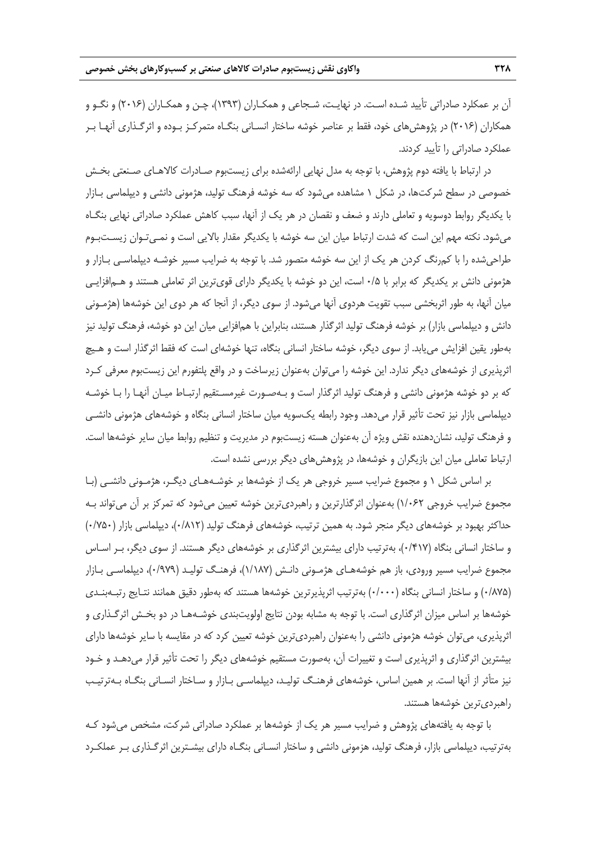آن بر عمكلرد صادراتي تأييد شـده اسـت. در نهايـت، شـجاعي و همكـاران (1393)، چـن و همكـاران (2016) و نگـو و همكاران (2016) در پژوهشهاي خود، فقط بر عناصر خوشه ساختار انسـاني بنگـاه متمركـز بـوده و اثرگـذاري آنهـا بـر عملكرد صادراتي را تأييد كردند.

در ارتباط با يافته دوم پژوهش، با توجه به مدل نهايي ارائهشده براي زيستبوم صـادرات كالاهـاي صـنعتي بخـش خصوصي در سطح شركتها، در شكل 1 مشاهده ميشود كه سه خوشه فرهنگ توليد، هژموني دانشي و ديپلماسي بـازار با يكديگر روابط دوسويه و تعاملي دارند و ضعف و نقصان در هر يك از آنها، سبب كاهش عملكرد صادراتي نهايي بنگـاه ميشود. نكته مهم اين است كه شدت ارتباط ميان اين سه خوشه با يكديگر مقدار بالايي است و نمـيتـوان زيسـتبـوم طراحيشده را با كمرنگ كردن هر يك از اين سه خوشه متصور شد. با توجه به ضرايب مسير خوشـه ديپلماسـي بـازار و هژموني دانش بر يكديگر كه برابر با 0/5 است، اين دو خوشه با يكديگر داراي قويترين اثر تعاملي هستند و هـمافزايـي ميان آنها، به طور اثربخشي سبب تقويت هردوي آنها ميشود. از سوي ديگر، از آنجا كه هر دوي اين خوشهها (هژمـوني دانش و ديپلماسي بازار) بر خوشه فرهنگ توليد اثرگذار هستند، بنابراين با همافزايي ميان اين دو خوشه، فرهنگ توليد نيز بهطور يقين افزايش مييابد. از سوي ديگر، خوشه ساختار انساني بنگاه، تنها خوشهاي است كه فقط اثرگذار است و هـيچ اثرپذيري از خوشههاي ديگر ندارد. اين خوشه را ميتوان بهعنوان زيرساخت و در واقع پلتفورم اين زيستبوم معرفي كـرد كه بر دو خوشه هژموني دانشي و فرهنگ توليد اثرگذار است و بـهصـورت غيرمسـتقيم ارتبـاط ميـان آنهـا را بـا خوشـه ديپلماسي بازار نيز تحت تأثير قرار ميدهد. وجود رابطه يكسويه ميان ساختار انساني بنگاه و خوشههاي هژموني دانشـي و فرهنگ توليد، نشاندهنده نقش ويژه آن بهعنوان هسته زيستبوم در مديريت و تنظيم روابط ميان ساير خوشهها است. ارتباط تعاملي ميان اين بازيگران و خوشهها، در پژوهشهاي ديگر بررسي نشده است.

بر اساس شكل 1 و مجموع ضرايب مسير خروجي هر يك از خوشهها بر خوشـههـاي ديگـر، هژمـوني دانشـي (بـا مجموع ضرايب خروجي 1/062) بهعنوان اثرگذارترين و راهبرديترين خوشه تعيين ميشود كه تمركز بر آن ميتواند بـه حداكثر بهبود بر خوشههاي ديگر منجر شود. به همين ترتيب، خوشههاي فرهنگ توليد (0/812)، ديپلماسي بازار (0/750) و ساختار انساني بنگاه (0/417)، بهترتيب داراي بيشترين اثرگذاري بر خوشههاي ديگر هستند. از سوي ديگر، بـر اسـاس مجموع ضرايب مسير ورودي، باز هم خوشههـاي هژمـوني دانـش (1/187)، فرهنـگ توليـد (0/979)، ديپلماسـي بـازار (0/875) و ساختار انساني بنگاه (0/000) بهترتيب اثرپذيرترين خوشهها هستند كه بهطور دقيق همانند نتـايج رتبـهبنـدي خوشهها بر اساس ميزان اثرگذاري است. با توجه به مشابه بودن نتايج اولويتبندي خوشـههـا در دو بخـش اثرگـذاري و اثرپذيري، ميتوان خوشه هژموني دانشي را بهعنوان راهبرديترين خوشه تعيين كرد كه در مقايسه با ساير خوشهها داراي بيشترين اثرگذاري و اثرپذيري است و تغييرات آن، بهصورت مستقيم خوشههاي ديگر را تحت تأثير قرار ميدهـد و خـود نيز متأثر از آنها است. بر همين اساس، خوشههاي فرهنـگ توليـد، ديپلماسـي بـازار و سـاختار انسـاني بنگـاه بـهترتيـب راهبرديترين خوشهها هستند.

با توجه به يافتههاي پژوهش و ضرايب مسير هر يك از خوشهها بر عملكرد صادراتي شركت، مشخص ميشود كـه بهترتيب، ديپلماسي بازار، فرهنگ توليد، هزموني دانشي و ساختار انسـاني بنگـاه داراي بيشـترين اثرگـذاري بـر عملكـرد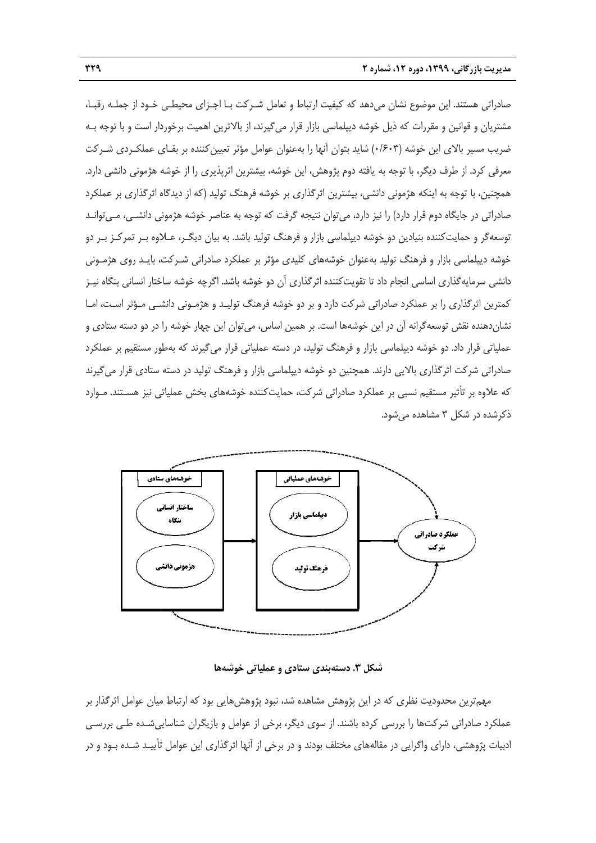صادراتی هستند. این موضوع نشان میدهد که کیفیت ارتباط و تعامل شـرکت بـا اجـزای محیطـی خـود از جملـه رقبـا، مشتريان و قوانين و مقررات كه ذيل خوشه ديپلماسي بازار قرار ميگيرند، از بالاترين اهميت برخوردار است و با توجه بـه ضریب مسیر بالای این خوشه (۰/۶۰۳) شاید بتوان آنها را بهعنوان عوامل مؤثر تعیین کننده بر بقـای عملکـردی شـرکت معرفي كرد. از طرف ديگر، با توجه به يافته دوم پژوهش، اين خوشه، بيشترين اثرپذيرى را از خوشه هژموني دانشي دارد. همچنين، با توجه به اينكه هژمونى دانشى، بيشترين اثرگذارى بر خوشه فرهنگ توليد (كه از ديدگاه اثرگذارى بر عملكرد صادراتي در جايگاه دوم قرار دارد) را نيز دارد، مي¤وان نتيجه گرفت كه توجه به عناصر خوشه هژموني دانشــي، مــي¤وانــد نوسعهگر و حمايتكننده بنيادين دو خوشه ديپلماسي بازار و فرهنگ توليد باشد. به بيان ديگـر، عـلاوه بـر تمركـز بـر دو خوشه ديپلماسي بازار و فرهنگ توليد بهعنوان خوشههاي كليدي مؤثر بر عملكرد صادراتي شـركت، بايـد روى هژمـوني دانشي سرمايهگذارى اساسي انجام داد تا تقويتكننده اثرگذارى آن دو خوشه باشد. اگرچه خوشه ساختار انساني بنگاه نيـز كمترين اثرگذارى را بر عملكرد صادراتى شركت دارد و بر دو خوشه فرهنگ توليـد و هژمـونى دانشـى مـؤثر اسـت، امـا نشاندهنده نقش توسعهگرانه آن در این خوشهها است. بر همین اساس، میتوان این چهار خوشه را در دو دسته ستادی و عملياتي قرار داد. دو خوشه ديپلماسي بازار و فرهنگ توليد، در دسته عملياتي قرار مي¢يرند كه بهطور مستقيم بر عملكرد صادراتی شرکت اثرگذاری بالایی دارند. همچنین دو خوشه دیپلماسی بازار و فرهنگ تولید در دسته ستادی قرار میگیرند كه علاوه بر تأثير مستقيم نسبي بر عملكرد صادراتي شركت، حمايتكننده خوشههاى بخش عملياتي نيز هسـتند. مـوارد ذكرشده در شكل ۳ مشاهده مىشود.



**ا ملياتي خوشهها دي ستادي و عم شكل .3 دستهبند ش**

مهمترين محدوديت نظرى كه در اين پژوهش مشاهده شد، نبود پژوهش@ايى بود كه ارتباط ميان عوامل اثرگذار بر عملكرد صادراتي شركتها را بررسي كرده باشند. از سوى ديگر، برخي از عوامل و بازيگران شناساييشـده طـي بررسـي 'دبيات پژوهشي، داراى واگرايى در مقالههاى مختلف بودند و در برخى از آنها اثرگذارى اين عوامل تأييـد شـده بـود و در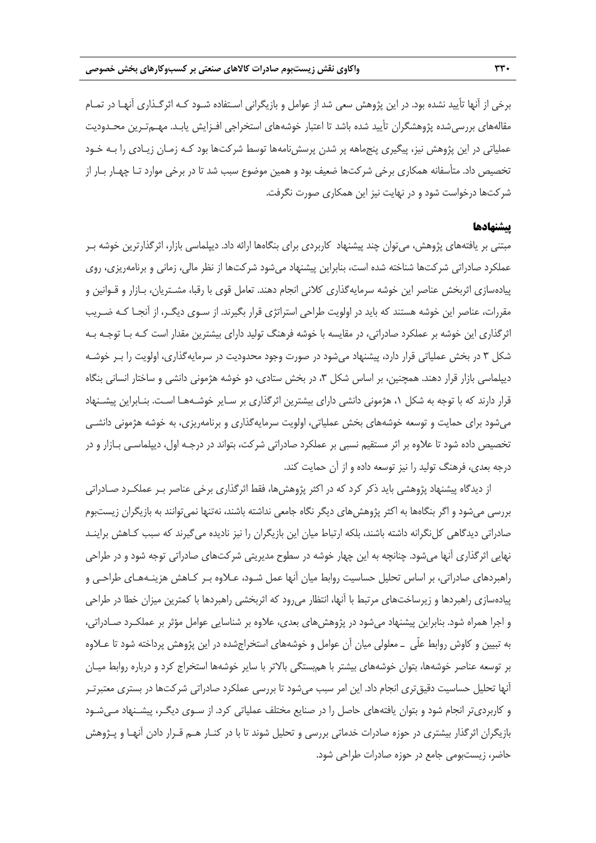برخي از آنها تأييد نشده بود. در اين پژوهش سعي شد از عوامل و بازيگراني اسـتفاده شـود كـه اثرگـذاري آنهـا در تمـام مقالههاي بررسيشده پژوهشگران تأييد شده باشد تا اعتبار خوشههاي استخراجي افـزايش يابـد. مهـمتـرين محـدوديت عملياتي در اين پژوهش نيز، پيگيري پنجماهه پر شدن پرسشنامهها توسط شركتها بود كـه زمـان زيـادي را بـه خـود تخصيص داد. متأسفانه همكاري برخي شركتها ضعيف بود و همين موضوع سبب شد تا در برخي موارد تـا چهـار بـار از شركتها درخواست شود و در نهايت نيز اين همكاري صورت نگرفت.

## **پيشنهادها**

مبتني بر يافتههاي پژوهش، ميتوان چند پيشنهاد كاربردي براي بنگاهها ارائه داد. ديپلماسي بازار، اثرگذارترين خوشه بـر عملكرد صادراتي شركتها شناخته شده است، بنابراين پيشنهاد ميشود شركتها از نظر مالي، زماني و برنامهريزي، روي پيادهسازي اثربخش عناصر اين خوشه سرمايهگذاري كلاني انجام دهند. تعامل قوي با رقبا، مشـتريان، بـازار و قـوانين و مقررات، عناصر اين خوشه هستند كه بايد در اولويت طراحي استراتژي قرار بگيرند. از سـوي ديگـر، از آنجـا كـه ضـريب اثرگذاري اين خوشه بر عملكرد صادراتي، در مقايسه با خوشه فرهنگ توليد داراي بيشترين مقدار است كـه بـا توجـه بـه شكل 3 در بخش عملياتي قرار دارد، پيشنهاد ميشود در صورت وجود محدوديت در سرمايهگذاري، اولويت را بـر خوشـه ديپلماسي بازار قرار دهند. همچنين، بر اساس شكل ٣، در بخش ستادي، دو خوشه هژموني دانشي و ساختار انساني بنگاه قرار دارند كه با توجه به شكل ،1 هژموني دانشي داراي بيشترين اثرگذاري بر سـاير خوشـههـا اسـت. بنـابراين پيشـنهاد ميشود براي حمايت و توسعه خوشههاي بخش عملياتي، اولويت سرمايهگذاري و برنامهريزي، به خوشه هژموني دانشـي تخصيص داده شود تا علاوه بر اثر مستقيم نسبي بر عملكرد صادراتي شركت، بتواند در درجـه اول، ديپلماسـي بـازار و در درجه بعدي، فرهنگ توليد را نيز توسعه داده و از آن حمايت كند.

از ديدگاه پيشنهاد پژوهشي بايد ذكر كرد كه در اكثر پژوهشها، فقط اثرگذاري برخي عناصر بـر عملكـرد صـادراتي بررسي ميشود و اگر بنگاهها به اكثر پژوهشهاي ديگر نگاه جامعي نداشته باشند، نهتنها نميتوانند به بازيگران زيستبوم صادراتي ديدگاهي كلنگرانه داشته باشند، بلكه ارتباط ميان اين بازيگران را نيز ناديده ميگيرند كه سبب كـاهش براينـد نهايي اثرگذاري آنها ميشود. چنانچه به اين چهار خوشه در سطوح مديريتي شركتهاي صادراتي توجه شود و در طراحي راهبردهاي صادراتي، بر اساس تحليل حساسيت روابط ميان آنها عمل شـود، عـلاوه بـر كـاهش هزينـههـاي طراحـي و پيادهسازي راهبردها و زيرساختهاي مرتبط با آنها، انتظار ميرود كه اثربخشي راهبردها با كمترين ميزان خطا در طراحي و اجرا همراه شود. بنابراين پيشنهاد ميشود در پژوهشهاي بعدي، علاوه بر شناسايي عوامل مؤثر بر عملكـرد صـادراتي، به تبيين و كاوش روابط علّي ـ معلولي ميان آن عوامل و خوشههاي استخراجشده در اين پژوهش پرداخته شود تا عـلاوه بر توسعه عناصر خوشهها، بتوان خوشههاي بيشتر با همبستگي بالاتر با ساير خوشهها استخراج كرد و درباره روابط ميـان آنها تحليل حساسيت دقيقتري انجام داد. اين امر سبب ميشود تا بررسي عملكرد صادراتي شركتها در بستري معتبرتـر و كاربرديتر انجام شود و بتوان يافتههاي حاصل را در صنايع مختلف عملياتي كرد. از سـوي ديگـر، پيشـنهاد مـيشـود بازيگران اثرگذار بيشتري در حوزه صادرات خدماتي بررسي و تحليل شوند تا با در كنـار هـم قـرار دادن آنهـا و پـژوهش حاضر، زيستبومي جامع در حوزه صادرات طراحي شود.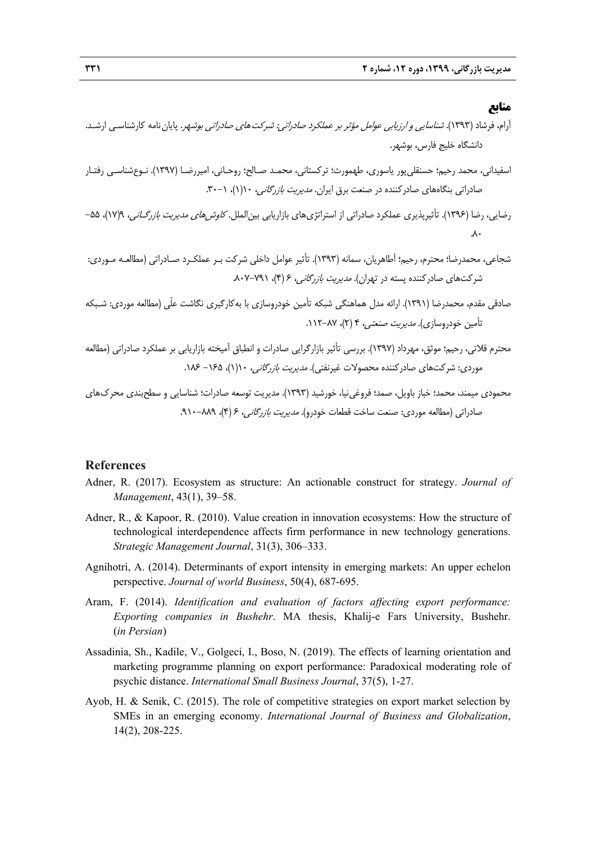# **منابع**

- آرام، فرشاد (1393). شناسايي <sup>و</sup> ارزيابي عوامل مؤثر بر عملكرد صادراتي: شركتهاي صادراتي بوشهر. پاياننامه كارشناسـي ارشـد. دانشگاه خليج فارس، بوشهر.
- اسفيداني، محمد رحيم؛ حسنقليپور ياسوري، طهمورث؛ تركستاني، محمـد صـالح؛ روحـاني، اميررضـا (1397). نـوعشناسـي رفتـار صادراتي بنگاههاي صادركننده در صنعت برق ايران. *مديريت بازرگاني،* ١(١)، ١-٣٠.
- رضايي، رضا (١٣٩۶). تأثيرپذيري عملكرد صادراتي از استراتژيهاي بازاريابي بين|لملل. *كاوشرهاي مديريت بازرگـاني،* ١٧/٩)، ۵۵- $\lambda$
- شجاعي، محمدرضا؛ محترم، رحيم؛ آطاهريان، سمانه (1393). تأثير عوامل داخلي شركت بـر عملكـرد صـادراتي (مطالعـه مـوردي: شركتهاي صادركننده پسته در تهران). مديريت بازرگاني، 6 (4)، .807-791
- صادقي مقدم، محمدرضا (1391). ارائه مدل هماهنگي شبكه تأمين خودروسازي با بهكارگيري نگاشت علّي (مطالعه موردي: شـبكه تأمين خودروسازي). *مديريت صنعتي*، ۴ (۲)، ۸۷–۱۱۲.
- محترم قلاتي، رحيم؛ موثق، مهرداد (1397). بررسي تأثير بازارگرايي صادرات و انطباق آميخته بازاريابي بر عملكرد صادراتي (مطالعه موردي: شركتهاي صادر كننده محصولات غيرنفتي). *مديريت بازرگاني،* ١(١)، ١٤٥ - ١٨٤.
- محمودي ميمند، محمد؛ خباز باويل، صمد؛ فروغينيا، خورشيد (1393). مديريت توسعه صادرات؛ شناسايي و سطحبندي محركهاي صادراتي (مطالعه موردي: صنعت ساخت قطعات خودرو). *مديريت بازرگاني، ۶ (۴)، ٨٨٩-*٠٨٩.

## **References**

- Adner, R. (2017). Ecosystem as structure: An actionable construct for strategy. *Journal of Management*, 43(1), 39–58.
- Adner, R., & Kapoor, R. (2010). Value creation in innovation ecosystems: How the structure of technological interdependence affects firm performance in new technology generations. *Strategic Management Journal*, 31(3), 306–333.
- Agnihotri, A. (2014). Determinants of export intensity in emerging markets: An upper echelon perspective. *Journal of world Business*, 50(4), 687-695.
- Aram, F. (2014). *Identification and evaluation of factors affecting export performance: Exporting companies in Bushehr*. MA thesis, Khalij-e Fars University, Bushehr. (*in Persian*)
- Assadinia, Sh., Kadile, V., Golgeci, I., Boso, N. (2019). The effects of learning orientation and marketing programme planning on export performance: Paradoxical moderating role of psychic distance. *International Small Business Journal*, 37(5), 1-27.
- Ayob, H. & Senik, C. (2015). The role of competitive strategies on export market selection by SMEs in an emerging economy. *International Journal of Business and Globalization*, 14(2), 208-225.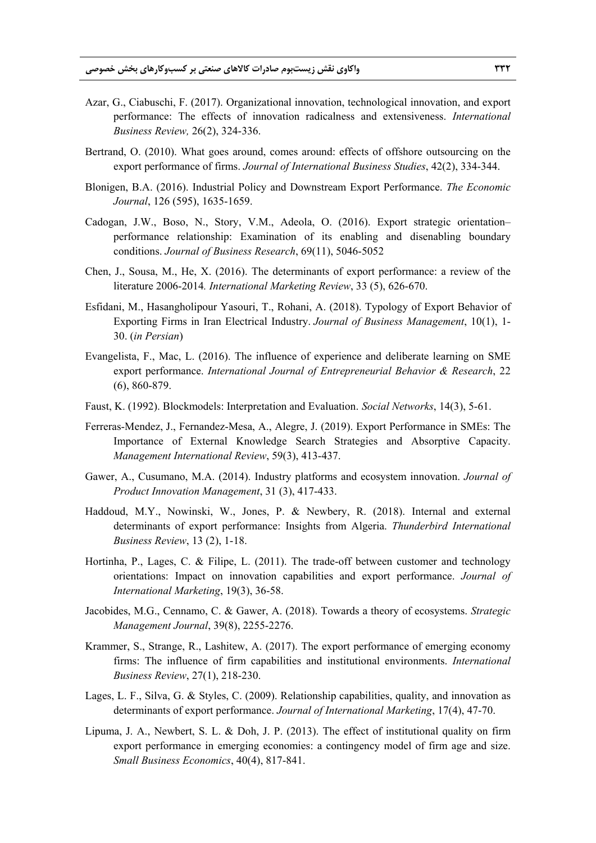- Azar, G., Ciabuschi, F. (2017). Organizational innovation, technological innovation, and export performance: The effects of innovation radicalness and extensiveness. *International Business Review,* 26(2), 324-336.
- Bertrand, O. (2010). What goes around, comes around: effects of offshore outsourcing on the export performance of firms. *Journal of International Business Studies*, 42(2), 334-344.
- Blonigen, B.A. (2016). Industrial Policy and Downstream Export Performance. *The Economic Journal*, 126 (595), 1635-1659.
- Cadogan, J.W., Boso, N., Story, V.M., Adeola, O. (2016). Export strategic orientation– performance relationship: Examination of its enabling and disenabling boundary conditions. *Journal of Business Research*, 69(11), 5046-5052
- Chen, J., Sousa, M., He, X. (2016). The determinants of export performance: a review of the literature 2006-2014*. International Marketing Review*, 33 (5), 626-670.
- Esfidani, M., Hasangholipour Yasouri, T., Rohani, A. (2018). Typology of Export Behavior of Exporting Firms in Iran Electrical Industry. *Journal of Business Management*, 10(1), 1- 30. (*in Persian*)
- Evangelista, F., Mac, L. (2016). The influence of experience and deliberate learning on SME export performance. *International Journal of Entrepreneurial Behavior & Research*, 22 (6), 860-879.
- Faust, K. (1992). Blockmodels: Interpretation and Evaluation. *Social Networks*, 14(3), 5-61.
- Ferreras-Mendez, J., Fernandez-Mesa, A., Alegre, J. (2019). Export Performance in SMEs: The Importance of External Knowledge Search Strategies and Absorptive Capacity. *Management International Review*, 59(3), 413-437.
- Gawer, A., Cusumano, M.A. (2014). Industry platforms and ecosystem innovation. *Journal of Product Innovation Management*, 31 (3), 417-433.
- Haddoud, M.Y., Nowinski, W., Jones, P. & Newbery, R. (2018). Internal and external determinants of export performance: Insights from Algeria. *Thunderbird International Business Review*, 13 (2), 1-18.
- Hortinha, P., Lages, C. & Filipe, L. (2011). The trade-off between customer and technology orientations: Impact on innovation capabilities and export performance. *Journal of International Marketing*, 19(3), 36-58.
- Jacobides, M.G., Cennamo, C. & Gawer, A. (2018). Towards a theory of ecosystems. *Strategic Management Journal*, 39(8), 2255-2276.
- Krammer, S., Strange, R., Lashitew, A. (2017). The export performance of emerging economy firms: The influence of firm capabilities and institutional environments. *International Business Review*, 27(1), 218-230.
- Lages, L. F., Silva, G. & Styles, C. (2009). Relationship capabilities, quality, and innovation as determinants of export performance. *Journal of International Marketing*, 17(4), 47-70.
- Lipuma, J. A., Newbert, S. L. & Doh, J. P. (2013). The effect of institutional quality on firm export performance in emerging economies: a contingency model of firm age and size. *Small Business Economics*, 40(4), 817-841.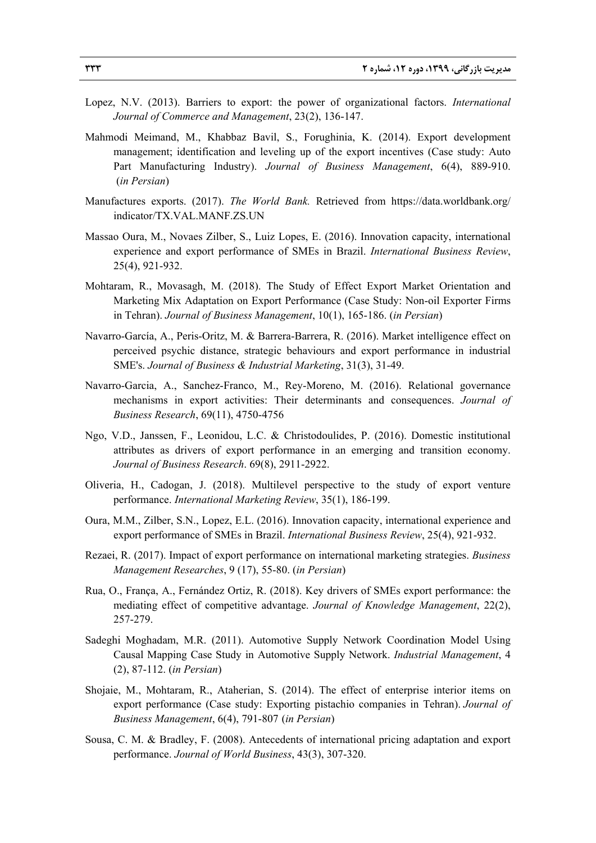- Lopez, N.V. (2013). Barriers to export: the power of organizational factors. *International Journal of Commerce and Management*, 23(2), 136-147.
- Mahmodi Meimand, M., Khabbaz Bavil, S., Forughinia, K. (2014). Export development management; identification and leveling up of the export incentives (Case study: Auto Part Manufacturing Industry). *Journal of Business Management*, 6(4), 889-910. (*in Persian*)
- Manufactures exports. (2017). *The World Bank.* Retrieved from https://data.worldbank.org/ indicator/TX.VAL.MANF.ZS.UN
- Massao Oura, M., Novaes Zilber, S., Luiz Lopes, E. (2016). Innovation capacity, international experience and export performance of SMEs in Brazil. *International Business Review*, 25(4), 921-932.
- Mohtaram, R., Movasagh, M. (2018). The Study of Effect Export Market Orientation and Marketing Mix Adaptation on Export Performance (Case Study: Non-oil Exporter Firms in Tehran). *Journal of Business Management*, 10(1), 165-186. (*in Persian*)
- Navarro-García, A., Peris-Oritz, M. & Barrera-Barrera, R. (2016). Market intelligence effect on perceived psychic distance, strategic behaviours and export performance in industrial SME's. *Journal of Business & Industrial Marketing*, 31(3), 31-49.
- Navarro-Garcia, A., Sanchez-Franco, M., Rey-Moreno, M. (2016). Relational governance mechanisms in export activities: Their determinants and consequences. *Journal of Business Research*, 69(11), 4750-4756
- Ngo, V.D., Janssen, F., Leonidou, L.C. & Christodoulides, P. (2016). Domestic institutional attributes as drivers of export performance in an emerging and transition economy. *Journal of Business Research*. 69(8), 2911-2922.
- Oliveria, H., Cadogan, J. (2018). Multilevel perspective to the study of export venture performance. *International Marketing Review*, 35(1), 186-199.
- Oura, M.M., Zilber, S.N., Lopez, E.L. (2016). Innovation capacity, international experience and export performance of SMEs in Brazil. *International Business Review*, 25(4), 921-932.
- Rezaei, R. (2017). Impact of export performance on international marketing strategies. *Business Management Researches*, 9 (17), 55-80. (*in Persian*)
- Rua, O., França, A., Fernández Ortiz, R. (2018). Key drivers of SMEs export performance: the mediating effect of competitive advantage. *Journal of Knowledge Management*, 22(2), 257-279.
- Sadeghi Moghadam, M.R. (2011). Automotive Supply Network Coordination Model Using Causal Mapping Case Study in Automotive Supply Network. *Industrial Management*, 4 (2), 87-112. (*in Persian*)
- Shojaie, M., Mohtaram, R., Ataherian, S. (2014). The effect of enterprise interior items on export performance (Case study: Exporting pistachio companies in Tehran). *Journal of Business Management*, 6(4), 791-807 (*in Persian*)
- Sousa, C. M. & Bradley, F. (2008). Antecedents of international pricing adaptation and export performance. *Journal of World Business*, 43(3), 307-320.